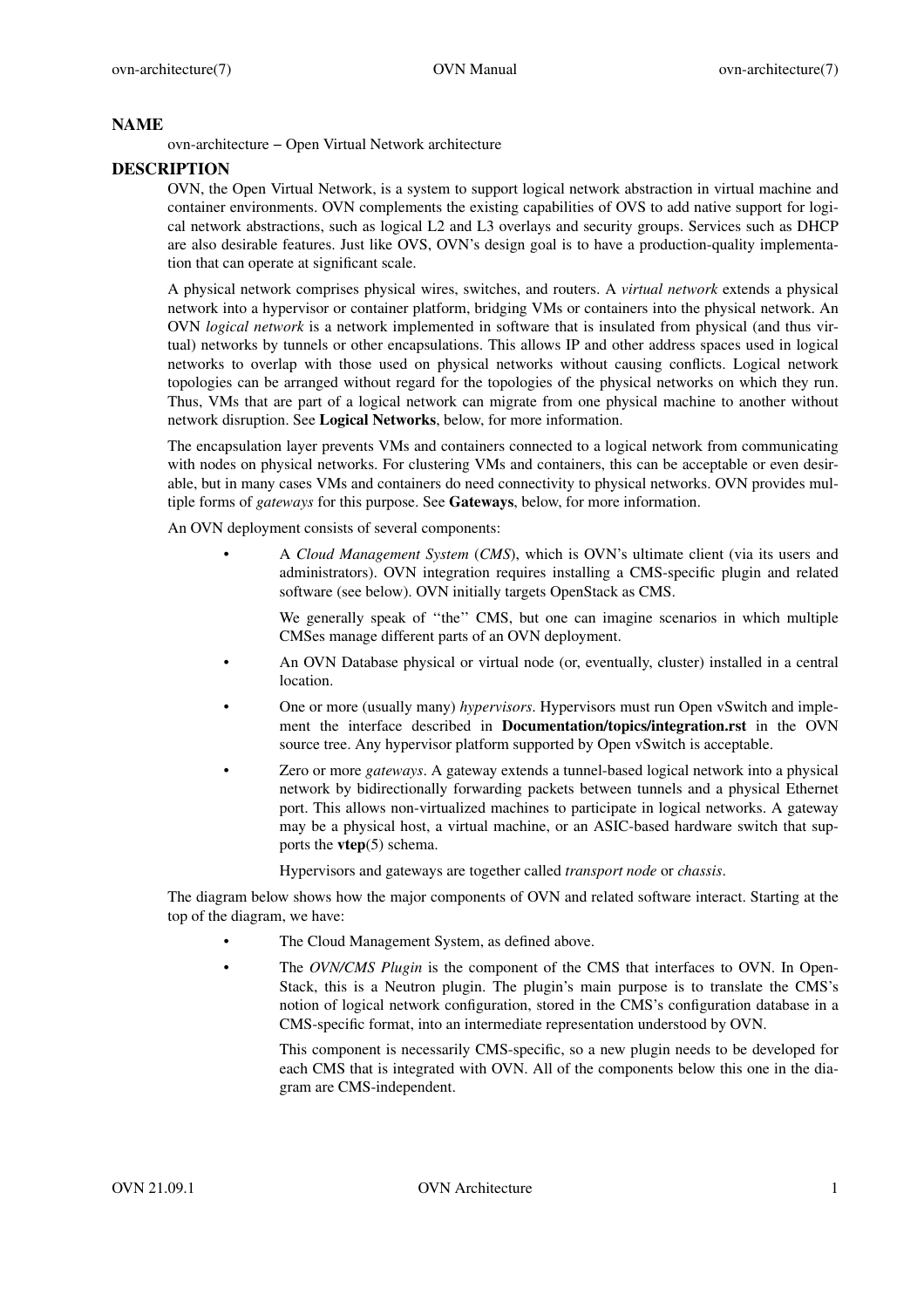# **NAME**

ovn-architecture − Open Virtual Network architecture

# **DESCRIPTION**

OVN, the Open Virtual Network, is a system to support logical network abstraction in virtual machine and container environments. OVN complements the existing capabilities of OVS to add native support for logical network abstractions, such as logical L2 and L3 overlays and security groups. Services such as DHCP are also desirable features. Just like OVS, OVN's design goal is to have a production-quality implementation that can operate at significant scale.

A physical network comprises physical wires, switches, and routers. A *virtual network* extends a physical network into a hypervisor or container platform, bridging VMs or containers into the physical network. An OVN *logical network* is a network implemented in software that is insulated from physical (and thus virtual) networks by tunnels or other encapsulations. This allows IP and other address spaces used in logical networks to overlap with those used on physical networks without causing conflicts. Logical network topologies can be arranged without regard for the topologies of the physical networks on which they run. Thus, VMs that are part of a logical network can migrate from one physical machine to another without network disruption. See **Logical Networks**, below, for more information.

The encapsulation layer prevents VMs and containers connected to a logical network from communicating with nodes on physical networks. For clustering VMs and containers, this can be acceptable or even desirable, but in many cases VMs and containers do need connectivity to physical networks. OVN provides multiple forms of *gateways* for this purpose. See **Gateways**, below, for more information.

An OVN deployment consists of several components:

• A *Cloud Management System* (*CMS*), which is OVN's ultimate client (via its users and administrators). OVN integration requires installing a CMS-specific plugin and related software (see below). OVN initially targets OpenStack as CMS.

We generally speak of "the" CMS, but one can imagine scenarios in which multiple CMSes manage different parts of an OVN deployment.

- An OVN Database physical or virtual node (or, eventually, cluster) installed in a central location.
- One or more (usually many) *hypervisors*. Hypervisors must run Open vSwitch and implement the interface described in **Documentation/topics/integration.rst** in the OVN source tree. Any hypervisor platform supported by Open vSwitch is acceptable.
- Zero or more *gateways*. A gateway extends a tunnel-based logical network into a physical network by bidirectionally forwarding packets between tunnels and a physical Ethernet port. This allows non-virtualized machines to participate in logical networks. A gateway may be a physical host, a virtual machine, or an ASIC-based hardware switch that supports the **vtep**(5) schema.

Hypervisors and gateways are together called *transport node* or *chassis*.

The diagram below shows how the major components of OVN and related software interact. Starting at the top of the diagram, we have:

- The Cloud Management System, as defined above.
- The *OVN/CMS Plugin* is the component of the CMS that interfaces to OVN. In Open-Stack, this is a Neutron plugin. The plugin's main purpose is to translate the CMS's notion of logical network configuration, stored in the CMS's configuration database in a CMS-specific format, into an intermediate representation understood by OVN.

This component is necessarily CMS-specific, so a new plugin needs to be developed for each CMS that is integrated with OVN. All of the components below this one in the diagram are CMS-independent.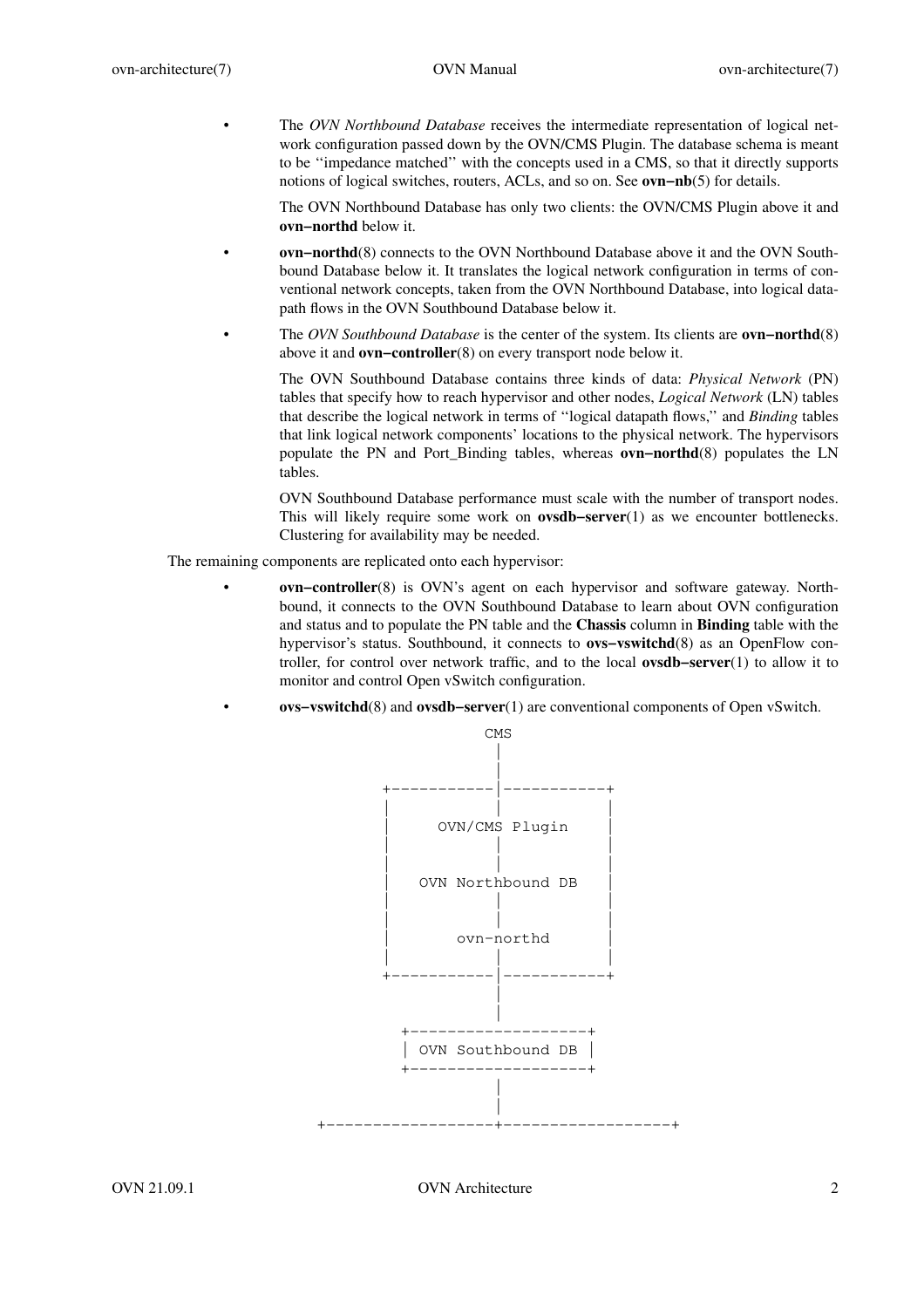• The *OVN Northbound Database* receives the intermediate representation of logical network configuration passed down by the OVN/CMS Plugin. The database schema is meant to be ''impedance matched'' with the concepts used in a CMS, so that it directly supports notions of logical switches, routers, ACLs, and so on. See **ovn−nb**(5) for details.

The OVN Northbound Database has only two clients: the OVN/CMS Plugin above it and **ovn−northd** below it.

- **ovn−northd**(8) connects to the OVN Northbound Database above it and the OVN Southbound Database below it. It translates the logical network configuration in terms of conventional network concepts, taken from the OVN Northbound Database, into logical datapath flows in the OVN Southbound Database below it.
- The *OVN Southbound Database* is the center of the system. Its clients are **ovn−northd**(8) above it and **ovn−controller**(8) on every transport node below it.

The OVN Southbound Database contains three kinds of data: *Physical Network* (PN) tables that specify how to reach hypervisor and other nodes, *Logical Network* (LN) tables that describe the logical network in terms of ''logical datapath flows,'' and *Binding* tables that link logical network components' locations to the physical network. The hypervisors populate the PN and Port\_Binding tables, whereas **ovn−northd**(8) populates the LN tables.

OVN Southbound Database performance must scale with the number of transport nodes. This will likely require some work on **ovsdb−server**(1) as we encounter bottlenecks. Clustering for availability may be needed.

The remaining components are replicated onto each hypervisor:

- **ovn−controller**(8) is OVN's agent on each hypervisor and software gateway. Northbound, it connects to the OVN Southbound Database to learn about OVN configuration and status and to populate the PN table and the **Chassis** column in **Binding** table with the hypervisor's status. Southbound, it connects to **ovs−vswitchd**(8) as an OpenFlow controller, for control over network traffic, and to the local **ovsdb−server**(1) to allow it to monitor and control Open vSwitch configuration.
- **ovs−vswitchd**(8) and **ovsdb−server**(1) are conventional components of Open vSwitch.



OVN 21.09.1 OVN Architecture 2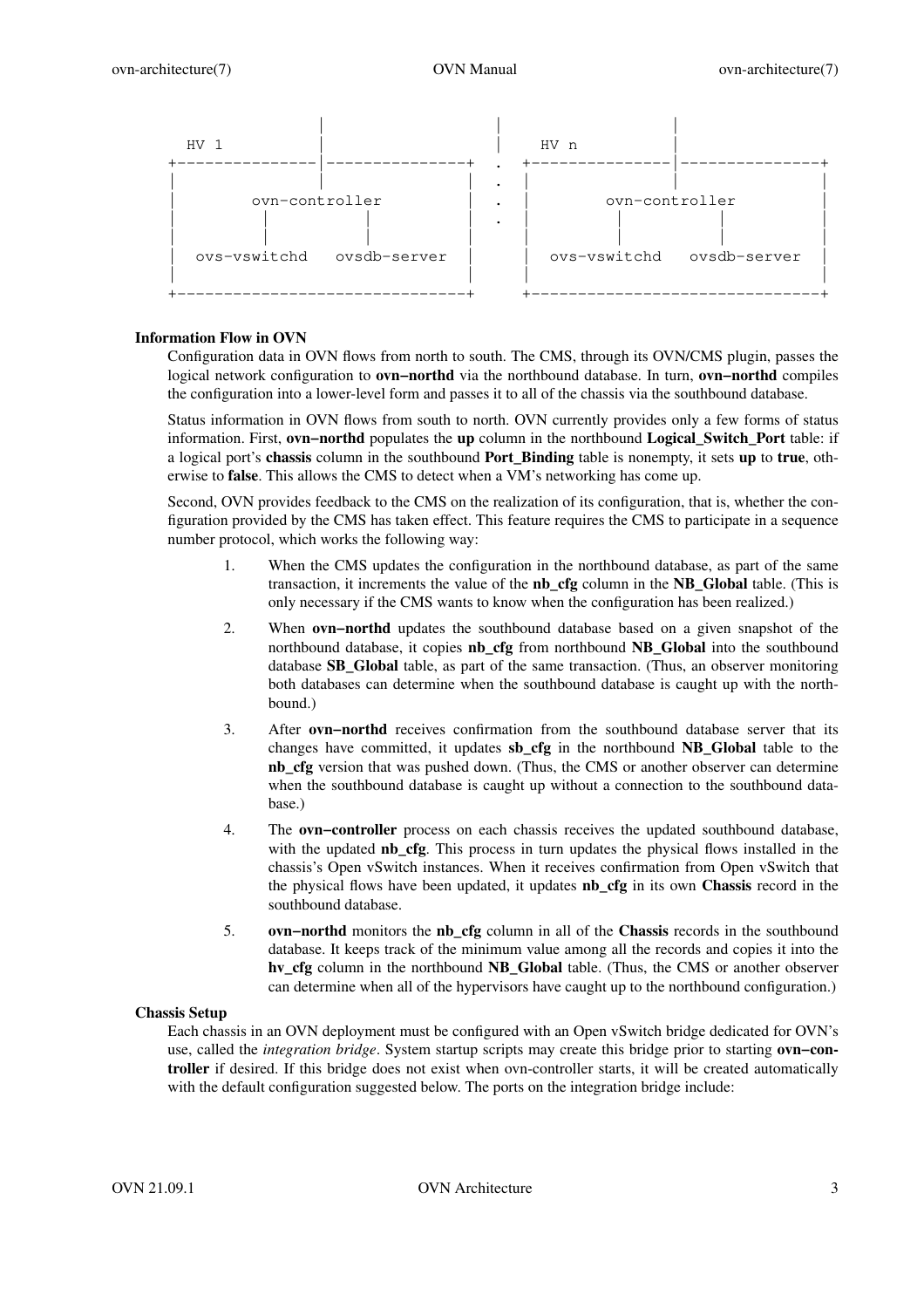

# **Information Flow in OVN**

Configuration data in OVN flows from north to south. The CMS, through its OVN/CMS plugin, passes the logical network configuration to **ovn−northd** via the northbound database. In turn, **ovn−northd** compiles the configuration into a lower-level form and passes it to all of the chassis via the southbound database.

Status information in OVN flows from south to north. OVN currently provides only a few forms of status information. First, **ovn−northd** populates the **up** column in the northbound **Logical\_Switch\_Port** table: if a logical port's **chassis** column in the southbound **Port\_Binding** table is nonempty, it sets **up** to **true**, otherwise to **false**. This allows the CMS to detect when a VM's networking has come up.

Second, OVN provides feedback to the CMS on the realization of its configuration, that is, whether the configuration provided by the CMS has taken effect. This feature requires the CMS to participate in a sequence number protocol, which works the following way:

- 1. When the CMS updates the configuration in the northbound database, as part of the same transaction, it increments the value of the **nb\_cfg** column in the **NB\_Global** table. (This is only necessary if the CMS wants to know when the configuration has been realized.)
- 2. When **ovn−northd** updates the southbound database based on a given snapshot of the northbound database, it copies **nb\_cfg** from northbound **NB\_Global** into the southbound database **SB\_Global** table, as part of the same transaction. (Thus, an observer monitoring both databases can determine when the southbound database is caught up with the northbound.)
- 3. After **ovn−northd** receives confirmation from the southbound database server that its changes have committed, it updates **sb\_cfg** in the northbound **NB\_Global** table to the **nb\_cfg** version that was pushed down. (Thus, the CMS or another observer can determine when the southbound database is caught up without a connection to the southbound database.)
- 4. The **ovn−controller** process on each chassis receives the updated southbound database, with the updated **nb\_cfg**. This process in turn updates the physical flows installed in the chassis's Open vSwitch instances. When it receives confirmation from Open vSwitch that the physical flows have been updated, it updates **nb\_cfg** in its own **Chassis** record in the southbound database.
- 5. **ovn−northd** monitors the **nb\_cfg** column in all of the **Chassis** records in the southbound database. It keeps track of the minimum value among all the records and copies it into the **hv\_cfg** column in the northbound **NB\_Global** table. (Thus, the CMS or another observer can determine when all of the hypervisors have caught up to the northbound configuration.)

### **Chassis Setup**

Each chassis in an OVN deployment must be configured with an Open vSwitch bridge dedicated for OVN's use, called the *integration bridge*. System startup scripts may create this bridge prior to starting **ovn−controller** if desired. If this bridge does not exist when ovn-controller starts, it will be created automatically with the default configuration suggested below. The ports on the integration bridge include: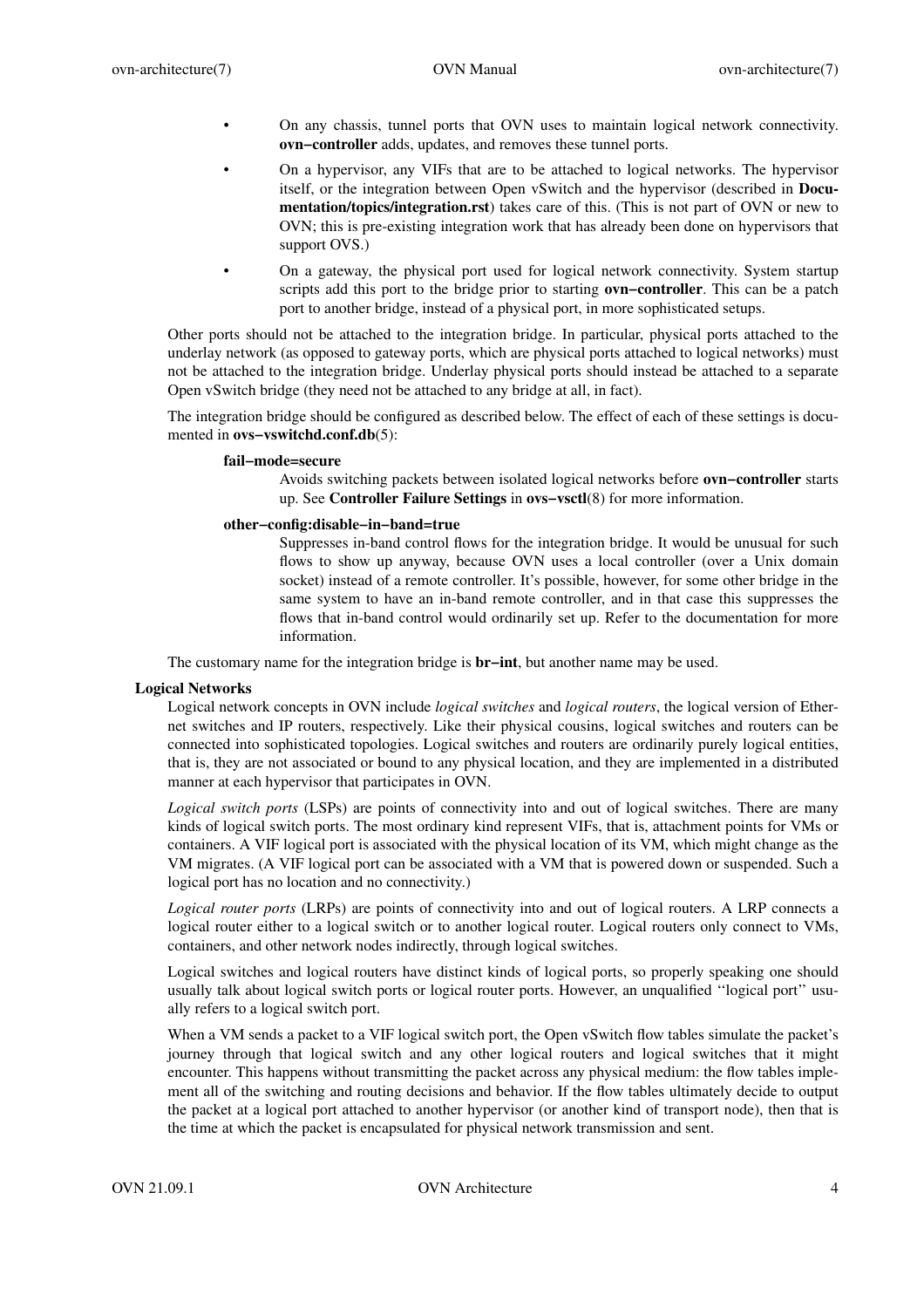- On any chassis, tunnel ports that OVN uses to maintain logical network connectivity. **ovn−controller** adds, updates, and removes these tunnel ports.
- On a hypervisor, any VIFs that are to be attached to logical networks. The hypervisor itself, or the integration between Open vSwitch and the hypervisor (described in **Documentation/topics/integration.rst**) takes care of this. (This is not part of OVN or new to OVN; this is pre-existing integration work that has already been done on hypervisors that support OVS.)
- On a gateway, the physical port used for logical network connectivity. System startup scripts add this port to the bridge prior to starting **ovn−controller**. This can be a patch port to another bridge, instead of a physical port, in more sophisticated setups.

Other ports should not be attached to the integration bridge. In particular, physical ports attached to the underlay network (as opposed to gateway ports, which are physical ports attached to logical networks) must not be attached to the integration bridge. Underlay physical ports should instead be attached to a separate Open vSwitch bridge (they need not be attached to any bridge at all, in fact).

The integration bridge should be configured as described below. The effect of each of these settings is documented in **ovs−vswitchd.conf.db**(5):

### **fail−mode=secure**

Av oids switching packets between isolated logical networks before **ovn−controller** starts up. See **Controller Failure Settings** in **ovs−vsctl**(8) for more information.

### **other−config:disable−in−band=true**

Suppresses in-band control flows for the integration bridge. It would be unusual for such flows to show up anyway, because OVN uses a local controller (over a Unix domain socket) instead of a remote controller. It's possible, however, for some other bridge in the same system to have an in-band remote controller, and in that case this suppresses the flows that in-band control would ordinarily set up. Refer to the documentation for more information.

The customary name for the integration bridge is **br−int**, but another name may be used.

### **Logical Networks**

Logical network concepts in OVN include *logical switches* and *logical routers*, the logical version of Ethernet switches and IP routers, respectively. Like their physical cousins, logical switches and routers can be connected into sophisticated topologies. Logical switches and routers are ordinarily purely logical entities, that is, they are not associated or bound to any physical location, and they are implemented in a distributed manner at each hypervisor that participates in OVN.

*Logical switch ports* (LSPs) are points of connectivity into and out of logical switches. There are many kinds of logical switch ports. The most ordinary kind represent VIFs, that is, attachment points for VMs or containers. A VIF logical port is associated with the physical location of its VM, which might change as the VM migrates. (A VIF logical port can be associated with a VM that is powered down or suspended. Such a logical port has no location and no connectivity.)

*Logical router ports* (LRPs) are points of connectivity into and out of logical routers. A LRP connects a logical router either to a logical switch or to another logical router. Logical routers only connect to VMs, containers, and other network nodes indirectly, through logical switches.

Logical switches and logical routers have distinct kinds of logical ports, so properly speaking one should usually talk about logical switch ports or logical router ports. However, an unqualified ''logical port'' usually refers to a logical switch port.

When a VM sends a packet to a VIF logical switch port, the Open vSwitch flow tables simulate the packet's journey through that logical switch and any other logical routers and logical switches that it might encounter. This happens without transmitting the packet across any physical medium: the flow tables implement all of the switching and routing decisions and behavior. If the flow tables ultimately decide to output the packet at a logical port attached to another hypervisor (or another kind of transport node), then that is the time at which the packet is encapsulated for physical network transmission and sent.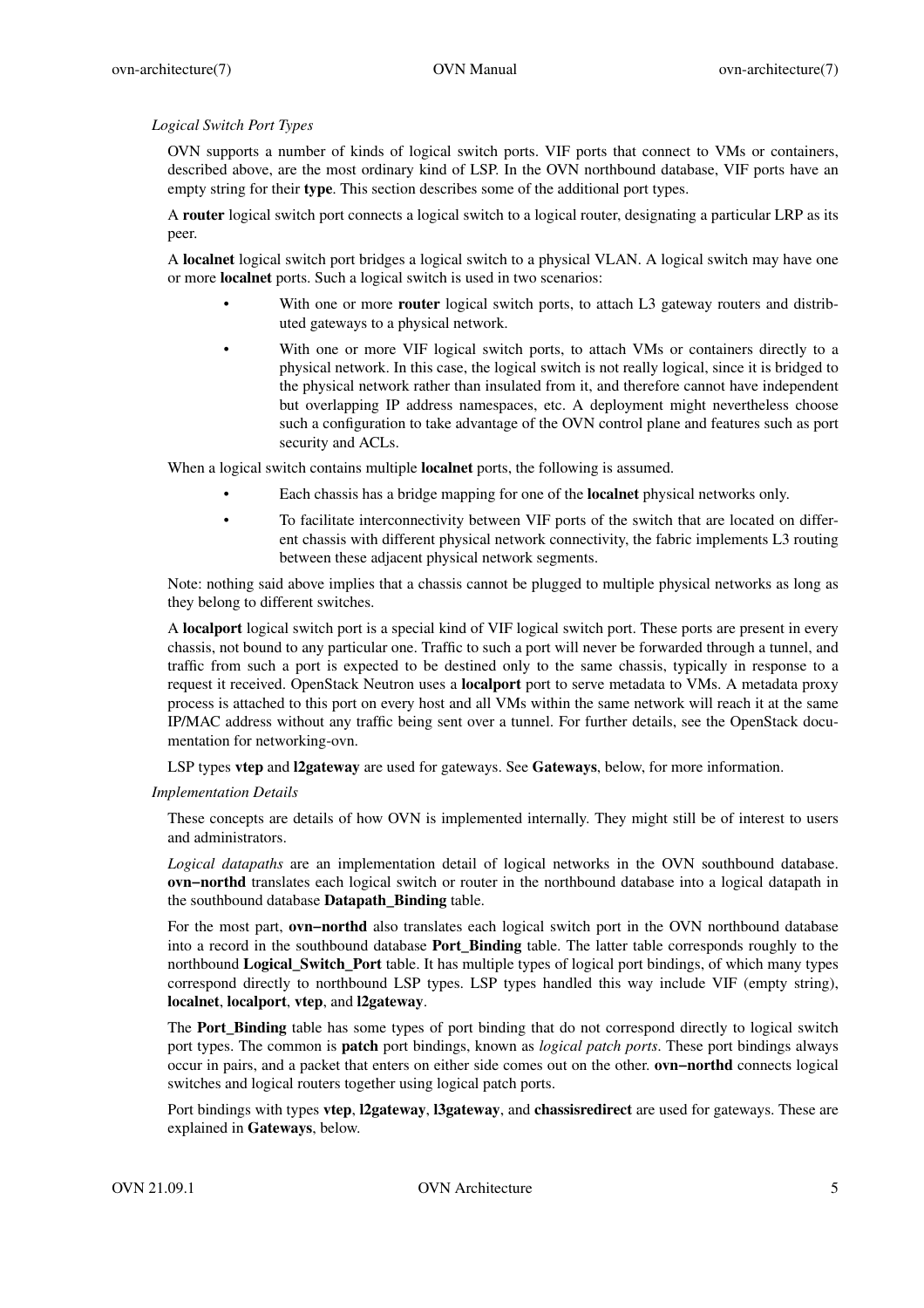# *Logical Switch Port Types*

OVN supports a number of kinds of logical switch ports. VIF ports that connect to VMs or containers, described above, are the most ordinary kind of LSP. In the OVN northbound database, VIF ports have an empty string for their **type**. This section describes some of the additional port types.

A **router** logical switch port connects a logical switch to a logical router, designating a particular LRP as its peer.

A **localnet** logical switch port bridges a logical switch to a physical VLAN. A logical switch may have one or more **localnet** ports. Such a logical switch is used in two scenarios:

- With one or more **router** logical switch ports, to attach L3 gateway routers and distributed gateways to a physical network.
- With one or more VIF logical switch ports, to attach VMs or containers directly to a physical network. In this case, the logical switch is not really logical, since it is bridged to the physical network rather than insulated from it, and therefore cannot have independent but overlapping IP address namespaces, etc. A deployment might nevertheless choose such a configuration to take advantage of the OVN control plane and features such as port security and ACLs.

When a logical switch contains multiple **localnet** ports, the following is assumed.

- Each chassis has a bridge mapping for one of the **localnet** physical networks only.
- To facilitate interconnectivity between VIF ports of the switch that are located on different chassis with different physical network connectivity, the fabric implements L3 routing between these adjacent physical network segments.

Note: nothing said above implies that a chassis cannot be plugged to multiple physical networks as long as they belong to different switches.

A **localport** logical switch port is a special kind of VIF logical switch port. These ports are present in every chassis, not bound to any particular one. Traffic to such a port will never be forwarded through a tunnel, and traffic from such a port is expected to be destined only to the same chassis, typically in response to a request it received. OpenStack Neutron uses a **localport** port to serve metadata to VMs. A metadata proxy process is attached to this port on every host and all VMs within the same network will reach it at the same IP/MAC address without any traffic being sent over a tunnel. For further details, see the OpenStack documentation for networking-ovn.

LSP types **vtep** and **l2gateway** are used for gateways. See **Gateways**, below, for more information.

*Implementation Details*

These concepts are details of how OVN is implemented internally. They might still be of interest to users and administrators.

*Logical datapaths* are an implementation detail of logical networks in the OVN southbound database. **ovn−northd** translates each logical switch or router in the northbound database into a logical datapath in the southbound database **Datapath\_Binding** table.

For the most part, **ovn−northd** also translates each logical switch port in the OVN northbound database into a record in the southbound database **Port\_Binding** table. The latter table corresponds roughly to the northbound **Logical\_Switch\_Port** table. It has multiple types of logical port bindings, of which many types correspond directly to northbound LSP types. LSP types handled this way include VIF (empty string), **localnet**, **localport**, **vtep**, and **l2gateway**.

The **Port\_Binding** table has some types of port binding that do not correspond directly to logical switch port types. The common is **patch** port bindings, known as *logical patch ports*. These port bindings always occur in pairs, and a packet that enters on either side comes out on the other. **ovn−northd** connects logical switches and logical routers together using logical patch ports.

Port bindings with types **vtep**, **l2gateway**, **l3gateway**, and **chassisredirect** are used for gateways. These are explained in **Gateways**, below.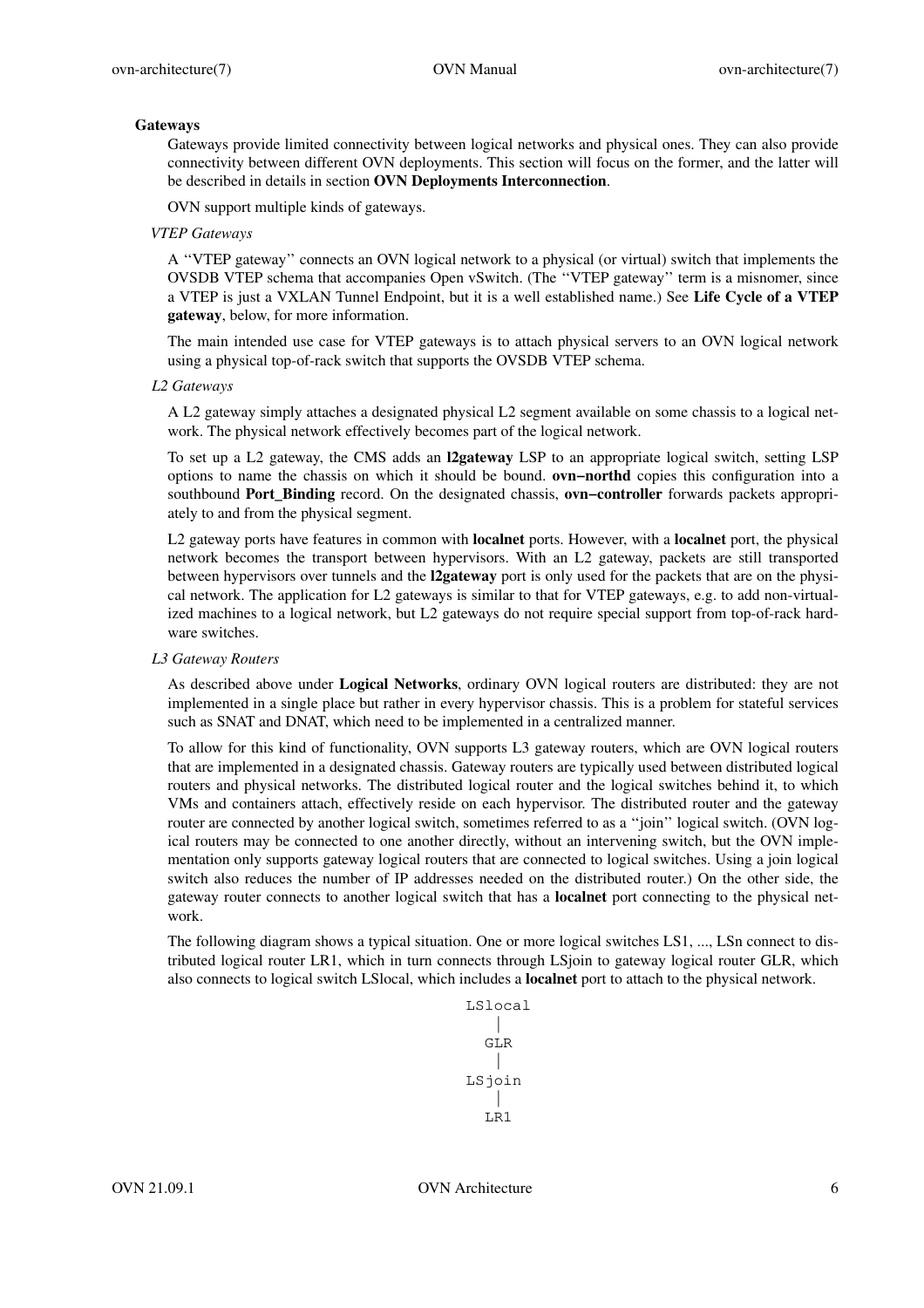### **Gateways**

Gateways provide limited connectivity between logical networks and physical ones. They can also provide connectivity between different OVN deployments. This section will focus on the former, and the latter will be described in details in section **OVN Deployments Interconnection**.

OVN support multiple kinds of gateways.

#### *VTEP Gateways*

A ''VTEP gateway'' connects an OVN logical network to a physical (or virtual) switch that implements the OVSDB VTEP schema that accompanies Open vSwitch. (The ''VTEP gateway'' term is a misnomer, since a VTEP is just a VXLAN Tunnel Endpoint, but it is a well established name.) See **Life Cycle of a VTEP gateway**, below, for more information.

The main intended use case for VTEP gateways is to attach physical servers to an OVN logical network using a physical top-of-rack switch that supports the OVSDB VTEP schema.

#### *L2 Gateways*

A L2 gateway simply attaches a designated physical L2 segment available on some chassis to a logical network. The physical network effectively becomes part of the logical network.

To set up a L2 gateway, the CMS adds an **l2gateway** LSP to an appropriate logical switch, setting LSP options to name the chassis on which it should be bound. **ovn−northd** copies this configuration into a southbound **Port\_Binding** record. On the designated chassis, **ovn−controller** forwards packets appropriately to and from the physical segment.

L2 gateway ports have features in common with **localnet** ports. However, with a **localnet** port, the physical network becomes the transport between hypervisors. With an L2 gateway, packets are still transported between hypervisors over tunnels and the **l2gateway** port is only used for the packets that are on the physical network. The application for L2 gateways is similar to that for VTEP gateways, e.g. to add non-virtualized machines to a logical network, but L2 gateways do not require special support from top-of-rack hardware switches.

#### *L3 Gateway Routers*

As described above under **Logical Networks**, ordinary OVN logical routers are distributed: they are not implemented in a single place but rather in every hypervisor chassis. This is a problem for stateful services such as SNAT and DNAT, which need to be implemented in a centralized manner.

To allow for this kind of functionality, OVN supports L3 gateway routers, which are OVN logical routers that are implemented in a designated chassis. Gateway routers are typically used between distributed logical routers and physical networks. The distributed logical router and the logical switches behind it, to which VMs and containers attach, effectively reside on each hypervisor. The distributed router and the gateway router are connected by another logical switch, sometimes referred to as a ''join'' logical switch. (OVN logical routers may be connected to one another directly, without an intervening switch, but the OVN implementation only supports gateway logical routers that are connected to logical switches. Using a join logical switch also reduces the number of IP addresses needed on the distributed router.) On the other side, the gateway router connects to another logical switch that has a **localnet** port connecting to the physical network.

The following diagram shows a typical situation. One or more logical switches LS1, ..., LSn connect to distributed logical router LR1, which in turn connects through LSjoin to gateway logical router GLR, which also connects to logical switch LSlocal, which includes a **localnet** port to attach to the physical network.

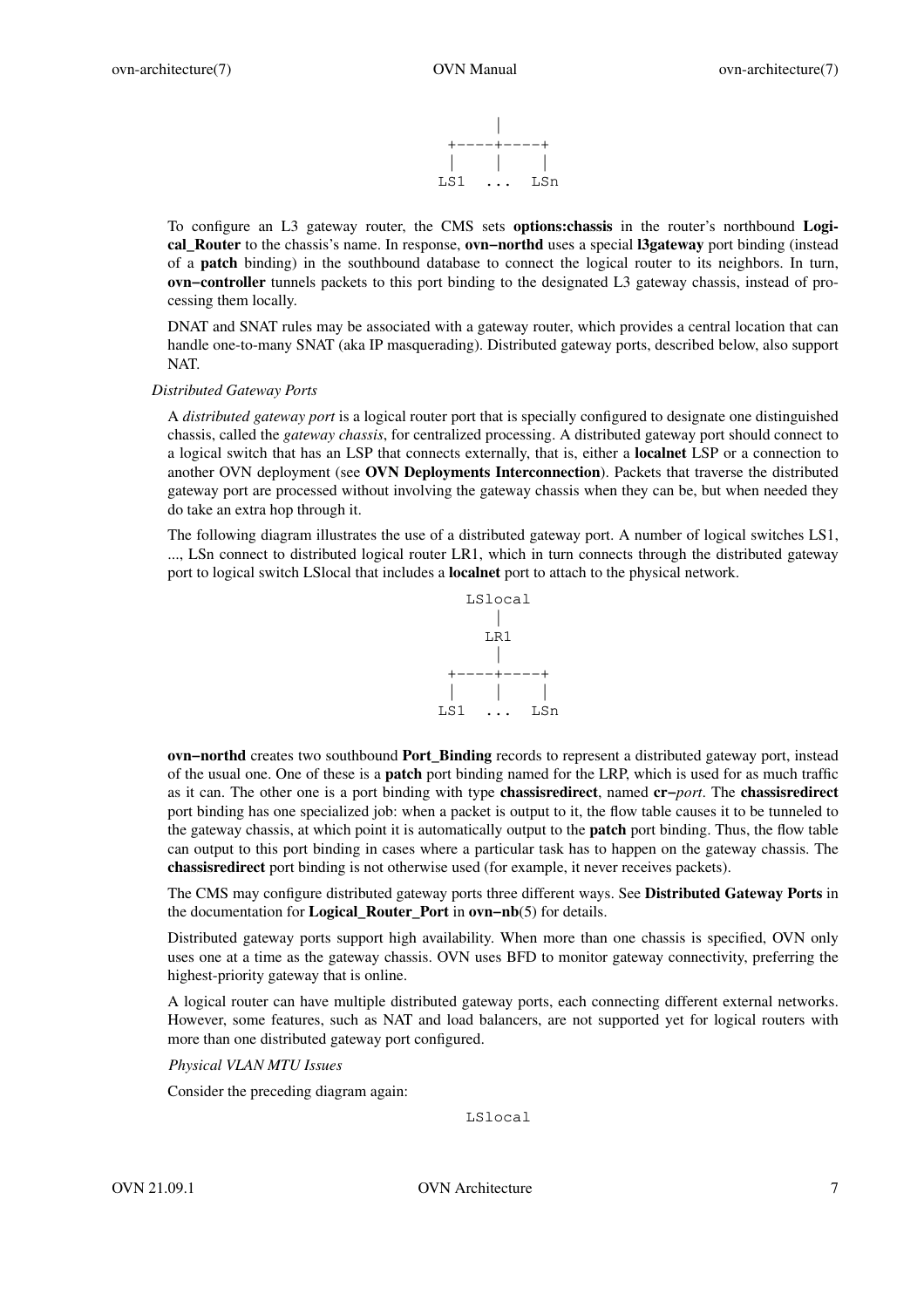

To configure an L3 gateway router, the CMS sets **options:chassis** in the router's northbound **Logical\_Router** to the chassis's name. In response, **ovn−northd** uses a special **l3gateway** port binding (instead of a **patch** binding) in the southbound database to connect the logical router to its neighbors. In turn, **ovn−controller** tunnels packets to this port binding to the designated L3 gateway chassis, instead of processing them locally.

DNAT and SNAT rules may be associated with a gateway router, which provides a central location that can handle one-to-many SNAT (aka IP masquerading). Distributed gateway ports, described below, also support NAT.

#### *Distributed Gateway Ports*

A *distributed gateway port* is a logical router port that is specially configured to designate one distinguished chassis, called the *gateway chassis*, for centralized processing. A distributed gateway port should connect to a logical switch that has an LSP that connects externally, that is, either a **localnet** LSP or a connection to another OVN deployment (see **OVN Deployments Interconnection**). Packets that traverse the distributed gateway port are processed without involving the gateway chassis when they can be, but when needed they do take an extra hop through it.

The following diagram illustrates the use of a distributed gateway port. A number of logical switches LS1, ..., LSn connect to distributed logical router LR1, which in turn connects through the distributed gateway port to logical switch LSlocal that includes a **localnet** port to attach to the physical network.



**ovn−northd** creates two southbound **Port\_Binding** records to represent a distributed gateway port, instead of the usual one. One of these is a **patch** port binding named for the LRP, which is used for as much traffic as it can. The other one is a port binding with type **chassisredirect**, named **cr−***port*. The **chassisredirect** port binding has one specialized job: when a packet is output to it, the flow table causes it to be tunneled to the gateway chassis, at which point it is automatically output to the **patch** port binding. Thus, the flow table can output to this port binding in cases where a particular task has to happen on the gateway chassis. The **chassisredirect** port binding is not otherwise used (for example, it never receives packets).

The CMS may configure distributed gateway ports three different ways. See **Distributed Gateway Ports** in the documentation for **Logical\_Router\_Port** in **ovn−nb**(5) for details.

Distributed gateway ports support high availability. When more than one chassis is specified, OVN only uses one at a time as the gateway chassis. OVN uses BFD to monitor gateway connectivity, preferring the highest-priority gateway that is online.

A logical router can have multiple distributed gateway ports, each connecting different external networks. However, some features, such as NAT and load balancers, are not supported yet for logical routers with more than one distributed gateway port configured.

*Physical VLAN MTU Issues*

Consider the preceding diagram again:

LSlocal

OVN 21.09.1 OVN Architecture 7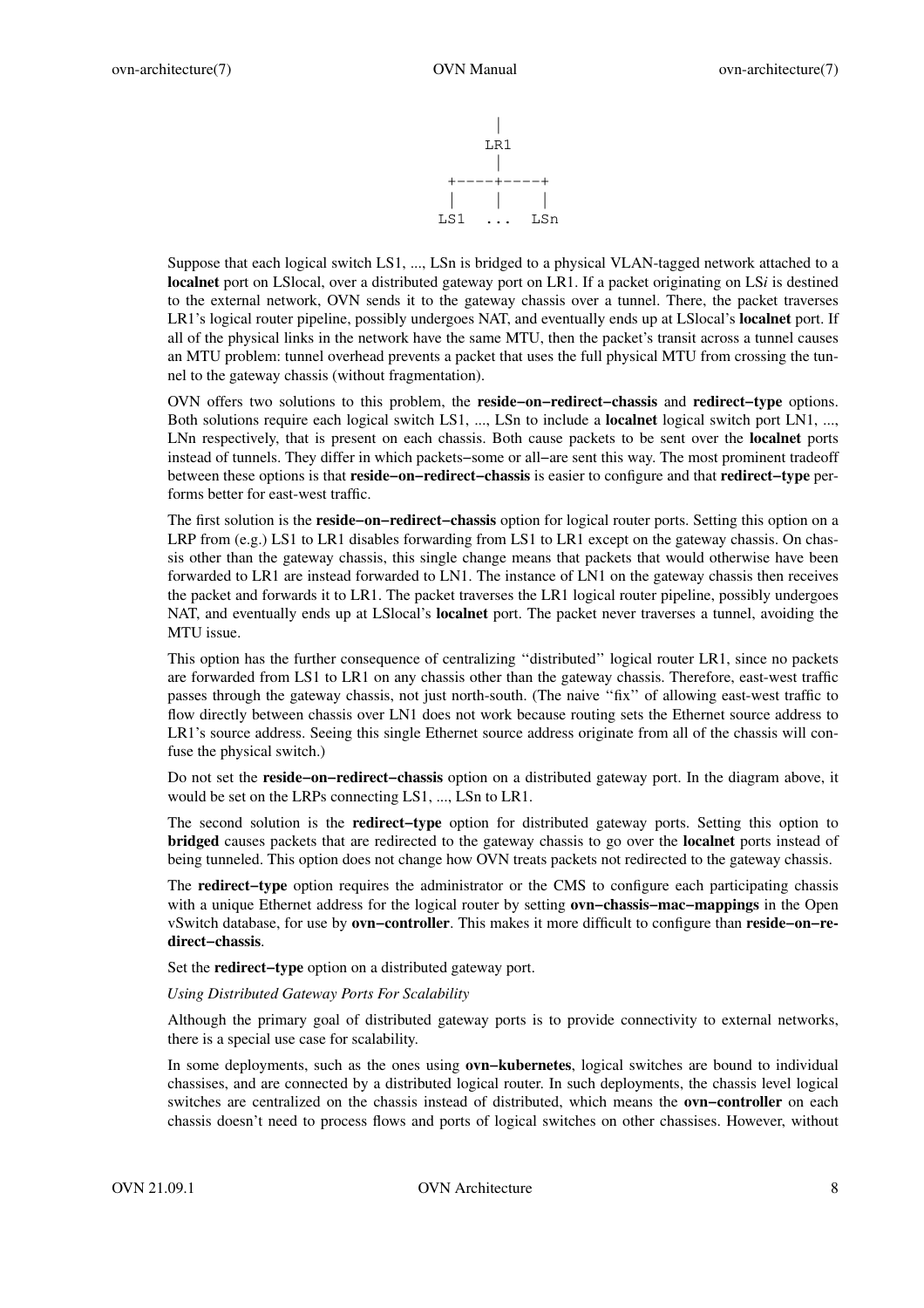

Suppose that each logical switch LS1, ..., LSn is bridged to a physical VLAN-tagged network attached to a **localnet** port on LSlocal, over a distributed gateway port on LR1. If a packet originating on LS $i$  is destined to the external network, OVN sends it to the gateway chassis overatunnel. There, the packet traverses LR1's logical router pipeline, possibly undergoes NAT, and eventually ends up at LSlocal's **localnet** port. If all of the physical links in the network have the same MTU, then the packet's transit across a tunnel causes an MTU problem: tunnel overhead prevents a packet that uses the full physical MTU from crossing the tunnel to the gateway chassis (without fragmentation).

OVN offers two solutions to this problem, the **reside−on−redirect−chassis** and **redirect−type** options. Both solutions require each logical switch LS1, ..., LSn to include a **localnet** logical switch port LN1, ..., LNn respectively, that is present on each chassis. Both cause packets to be sent over the **localnet** ports instead of tunnels. They differ in which packets−some or all−are sent this way. The most prominent tradeoff between these options is that **reside−on−redirect−chassis** is easier to configure and that **redirect−type** performs better for east-west traffic.

The first solution is the **reside−on−redirect−chassis** option for logical router ports. Setting this option on a LRP from (e.g.) LS1 to LR1 disables forwarding from LS1 to LR1 except on the gateway chassis. On chassis other than the gateway chassis, this single change means that packets that would otherwise have been forwarded to LR1 are instead forwarded to LN1. The instance of LN1 on the gateway chassis then receives the packet and forwards it to LR1. The packet traverses the LR1 logical router pipeline, possibly undergoes NAT, and eventually ends up at LSlocal's **localnet** port. The packet never traverses a tunnel, avoiding the MTU issue.

This option has the further consequence of centralizing ''distributed'' logical router LR1, since no packets are forwarded from LS1 to LR1 on any chassis other than the gateway chassis. Therefore, east-west traffic passes through the gateway chassis, not just north-south. (The naive ''fix'' of allowing east-west traffic to flow directly between chassis over LN1 does not work because routing sets the Ethernet source address to LR1's source address. Seeing this single Ethernet source address originate from all of the chassis will confuse the physical switch.)

Do not set the **reside−on−redirect−chassis** option on a distributed gateway port. In the diagram above, it would be set on the LRPs connecting LS1, ..., LSn to LR1.

The second solution is the **redirect−type** option for distributed gateway ports. Setting this option to **bridged** causes packets that are redirected to the gateway chassis to go over the **localnet** ports instead of being tunneled. This option does not change how OVN treats packets not redirected to the gateway chassis.

The **redirect−type** option requires the administrator or the CMS to configure each participating chassis with a unique Ethernet address for the logical router by setting **ovn−chassis−mac−mappings** in the Open vSwitch database, for use by **ovn−controller**. This makes it more difficult to configure than **reside−on−redirect−chassis**.

Set the **redirect−type** option on a distributed gateway port.

*Using Distributed Gateway Ports For Scalability*

Although the primary goal of distributed gateway ports is to provide connectivity to external networks, there is a special use case for scalability.

In some deployments, such as the ones using **ovn−kubernetes**, logical switches are bound to individual chassises, and are connected by a distributed logical router. In such deployments, the chassis level logical switches are centralized on the chassis instead of distributed, which means the **ovn−controller** on each chassis doesn't need to process flows and ports of logical switches on other chassises. However, without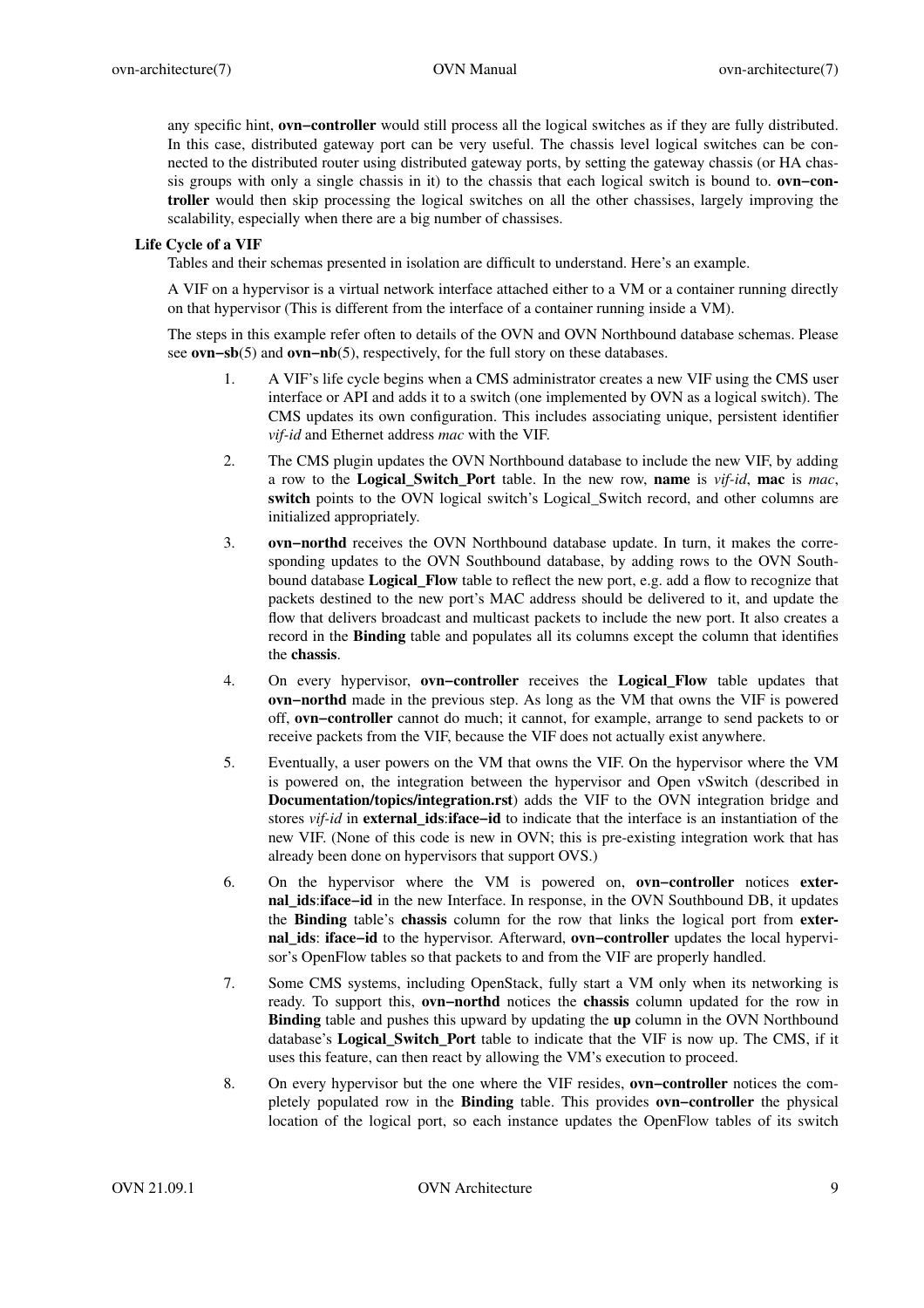any specific hint, **ovn−controller** would still process all the logical switches as if they are fully distributed. In this case, distributed gateway port can be very useful. The chassis level logical switches can be connected to the distributed router using distributed gateway ports, by setting the gateway chassis (or HA chassis groups with only a single chassis in it) to the chassis that each logical switch is bound to. **ovn−controller** would then skip processing the logical switches on all the other chassises, largely improving the scalability, especially when there are a big number of chassises.

### **Life Cycle of a VIF**

Tables and their schemas presented in isolation are difficult to understand. Here's an example.

A VIF on a hypervisor is a virtual network interface attached either to a VM or a container running directly on that hypervisor (This is different from the interface of a container running inside a VM).

The steps in this example refer often to details of the OVN and OVN Northbound database schemas. Please see **ovn−sb**(5) and **ovn−nb**(5), respectively, for the full story on these databases.

- 1. A VIF's life cycle begins when a CMS administrator creates a new VIF using the CMS user interface or API and adds it to a switch (one implemented by OVN as a logical switch). The CMS updates its own configuration. This includes associating unique, persistent identifier *vif-id* and Ethernet address *mac* with the VIF.
- 2. The CMS plugin updates the OVN Northbound database to include the new VIF, by adding a row to the **Logical\_Switch\_Port** table. In the new row, **name** is *vif-id*, **mac** is *mac*, **switch** points to the OVN logical switch's Logical\_Switch record, and other columns are initialized appropriately.
- 3. **ovn−northd** receives the OVN Northbound database update. In turn, it makes the corresponding updates to the OVN Southbound database, by adding rows to the OVN Southbound database **Logical\_Flow** table to reflect the new port, e.g. add a flow to recognize that packets destined to the new port's MAC address should be delivered to it, and update the flow that delivers broadcast and multicast packets to include the new port. It also creates a record in the **Binding** table and populates all its columns except the column that identifies the **chassis**.
- 4. On every hypervisor, **ovn−controller** receives the **Logical\_Flow** table updates that **ovn−northd** made in the previous step. As long as the VM that owns the VIF is powered off, **ovn−controller** cannot do much; it cannot, for example, arrange to send packets to or receive packets from the VIF, because the VIF does not actually exist anywhere.
- 5. Eventually,auser powers on the VM that owns the VIF. On the hypervisor where the VM is powered on, the integration between the hypervisor and Open vSwitch (described in **Documentation/topics/integration.rst**) adds the VIF to the OVN integration bridge and stores *vif-id* in **external\_ids**:**iface−id** to indicate that the interface is an instantiation of the new VIF. (None of this code is new in OVN; this is pre-existing integration work that has already been done on hypervisors that support OVS.)
- 6. On the hypervisor where the VM is powered on, **ovn−controller** notices **external\_ids**:**iface−id** in the new Interface. In response, in the OVN Southbound DB, it updates the **Binding** table's **chassis** column for the row that links the logical port from **external\_ids**: **iface−id** to the hypervisor. Afterward, **ovn−controller** updates the local hypervisor's OpenFlow tables so that packets to and from the VIF are properly handled.
- 7. Some CMS systems, including OpenStack, fully start a VM only when its networking is ready. To support this, **ovn−northd** notices the **chassis** column updated for the row in **Binding** table and pushes this upward by updating the **up** column in the OVN Northbound database's **Logical\_Switch\_Port** table to indicate that the VIF is now up. The CMS, if it uses this feature, can then react by allowing the VM's execution to proceed.
- 8. On every hypervisor but the one where the VIF resides, **ovn−controller** notices the completely populated row in the **Binding** table. This provides **ovn−controller** the physical location of the logical port, so each instance updates the OpenFlow tables of its switch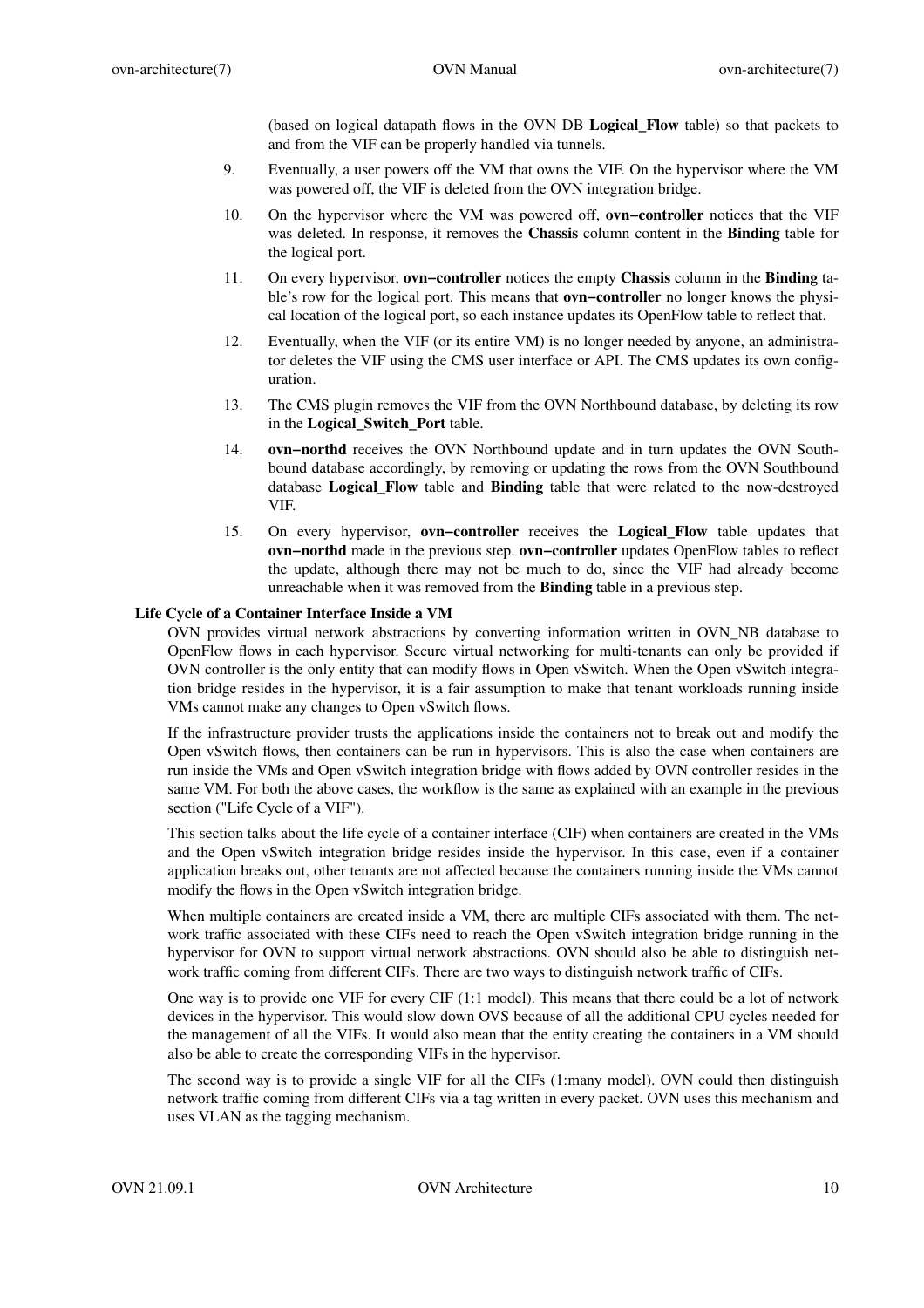(based on logical datapath flows in the OVN DB **Logical\_Flow** table) so that packets to and from the VIF can be properly handled via tunnels.

- 9. Eventually,auser powers off the VM that owns the VIF. On the hypervisor where the VM was powered off, the VIF is deleted from the OVN integration bridge.
- 10. On the hypervisor where the VM was powered off, **ovn−controller** notices that the VIF was deleted. In response, it removes the **Chassis** column content in the **Binding** table for the logical port.
- 11. On every hypervisor, **ovn−controller** notices the empty **Chassis** column in the **Binding** table's row for the logical port. This means that **ovn−controller** no longer knows the physical location of the logical port, so each instance updates its OpenFlow table to reflect that.
- 12. Eventually, when the VIF (or its entire VM) is no longer needed by anyone, an administrator deletes the VIF using the CMS user interface or API. The CMS updates its own configuration.
- 13. The CMS plugin removes the VIF from the OVN Northbound database, by deleting its row in the **Logical\_Switch\_Port** table.
- 14. **ovn−northd** receives the OVN Northbound update and in turn updates the OVN Southbound database accordingly, by removing or updating the rows from the OVN Southbound database **Logical\_Flow** table and **Binding** table that were related to the now-destroyed VIF.
- 15. On every hypervisor, **ovn−controller** receives the **Logical\_Flow** table updates that **ovn−northd** made in the previous step. **ovn−controller** updates OpenFlow tables to reflect the update, although there may not be much to do, since the VIF had already become unreachable when it was removed from the **Binding** table in a previous step.

# **Life Cycle of a Container Interface Inside a VM**

OVN provides virtual network abstractions by converting information written in OVN\_NB database to OpenFlow flows in each hypervisor. Secure virtual networking for multi-tenants can only be provided if OVN controller is the only entity that can modify flows in Open vSwitch. When the Open vSwitch integration bridge resides in the hypervisor, it is a fair assumption to make that tenant workloads running inside VMs cannot make any changes to Open vSwitch flows.

If the infrastructure provider trusts the applications inside the containers not to break out and modify the Open vSwitch flows, then containers can be run in hypervisors. This is also the case when containers are run inside the VMs and Open vSwitch integration bridge with flows added by OVN controller resides in the same VM. For both the above cases, the workflow is the same as explained with an example in the previous section ("Life Cycle of a VIF").

This section talks about the life cycle of a container interface (CIF) when containers are created in the VMs and the Open vSwitch integration bridge resides inside the hypervisor. In this case, even if a container application breaks out, other tenants are not affected because the containers running inside the VMs cannot modify the flows in the Open vSwitch integration bridge.

When multiple containers are created inside a VM, there are multiple CIFs associated with them. The network traffic associated with these CIFs need to reach the Open vSwitch integration bridge running in the hypervisor for OVN to support virtual network abstractions. OVN should also be able to distinguish network traffic coming from different CIFs. There are two ways to distinguish network traffic of CIFs.

One way is to provide one VIF for every CIF (1:1 model). This means that there could be a lot of network devices in the hypervisor. This would slow down OVS because of all the additional CPU cycles needed for the management of all the VIFs. It would also mean that the entity creating the containers in a VM should also be able to create the corresponding VIFs in the hypervisor.

The second way is to provide a single VIF for all the CIFs (1:many model). OVN could then distinguish network traffic coming from different CIFs via a tag written in every packet. OVN uses this mechanism and uses VLAN as the tagging mechanism.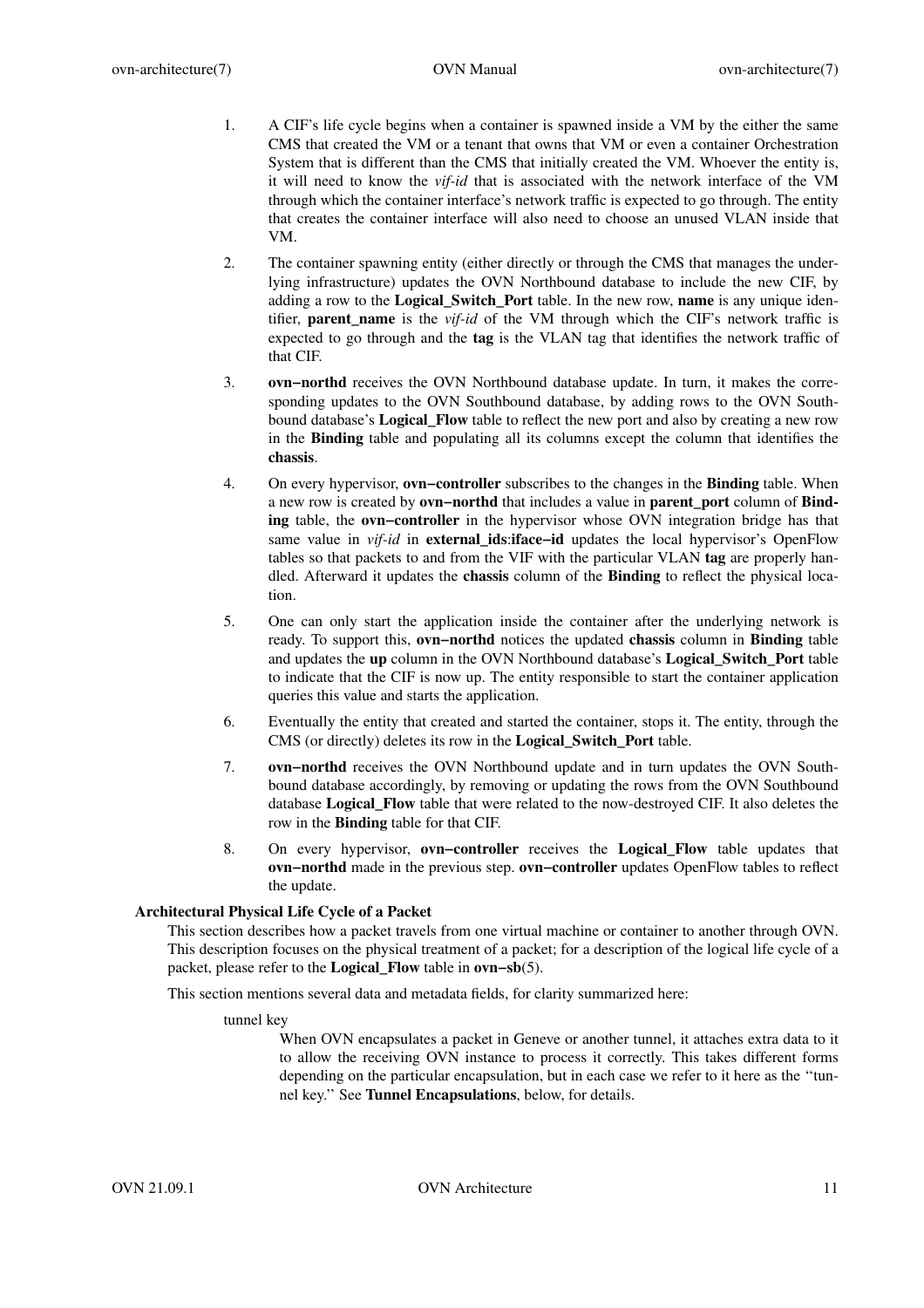- 1. A CIF's life cycle begins when a container is spawned inside a VM by the either the same CMS that created the VM or a tenant that owns that VM or even a container Orchestration System that is different than the CMS that initially created the VM. Whoever the entity is, it will need to know the *vif-id* that is associated with the network interface of the VM through which the container interface's network traffic is expected to go through. The entity that creates the container interface will also need to choose an unused VLAN inside that VM.
- 2. The container spawning entity (either directly or through the CMS that manages the underlying infrastructure) updates the OVN Northbound database to include the new CIF, by adding a row to the **Logical\_Switch\_Port** table. In the new row, **name** is any unique identifier, **parent name** is the *vif-id* of the VM through which the CIF's network traffic is expected to go through and the **tag** is the VLAN tag that identifies the network traffic of that CIF.
- 3. **ovn−northd** receives the OVN Northbound database update. In turn, it makes the corresponding updates to the OVN Southbound database, by adding rows to the OVN Southbound database's **Logical\_Flow** table to reflect the new port and also by creating a new row in the **Binding** table and populating all its columns except the column that identifies the **chassis**.
- 4. On every hypervisor, **ovn−controller** subscribes to the changes in the **Binding** table. When a new row is created by **ovn−northd** that includes a value in **parent\_port** column of **Binding** table, the **ovn−controller** in the hypervisor whose OVN integration bridge has that same value in *vif-id* in **external ids:iface-id** updates the local hypervisor's OpenFlow tables so that packets to and from the VIF with the particular VLAN **tag** are properly handled. Afterward it updates the **chassis** column of the **Binding** to reflect the physical location.
- 5. One can only start the application inside the container after the underlying network is ready. To support this, **ovn−northd** notices the updated **chassis** column in **Binding** table and updates the **up** column in the OVN Northbound database's **Logical\_Switch\_Port** table to indicate that the CIF is now up. The entity responsible to start the container application queries this value and starts the application.
- 6. Eventually the entity that created and started the container, stops it. The entity, through the CMS (or directly) deletes its row in the **Logical\_Switch\_Port** table.
- 7. **ovn−northd** receives the OVN Northbound update and in turn updates the OVN Southbound database accordingly, by removing or updating the rows from the OVN Southbound database **Logical\_Flow** table that were related to the now-destroyed CIF. It also deletes the row in the **Binding** table for that CIF.
- 8. On every hypervisor, **ovn−controller** receives the **Logical\_Flow** table updates that **ovn−northd** made in the previous step. **ovn−controller** updates OpenFlow tables to reflect the update.

# **Architectural Physical Life Cycle of a Packet**

This section describes how a packet travels from one virtual machine or container to another through OVN. This description focuses on the physical treatment of a packet; for a description of the logical life cycle of a packet, please refer to the **Logical\_Flow** table in **ovn−sb**(5).

This section mentions several data and metadata fields, for clarity summarized here:

tunnel key

When OVN encapsulates a packet in Geneve or another tunnel, it attaches extra data to it to allow the receiving OVN instance to process it correctly. This takes different forms depending on the particular encapsulation, but in each case we refer to it here as the ''tunnel key.'' See **Tunnel Encapsulations**, below, for details.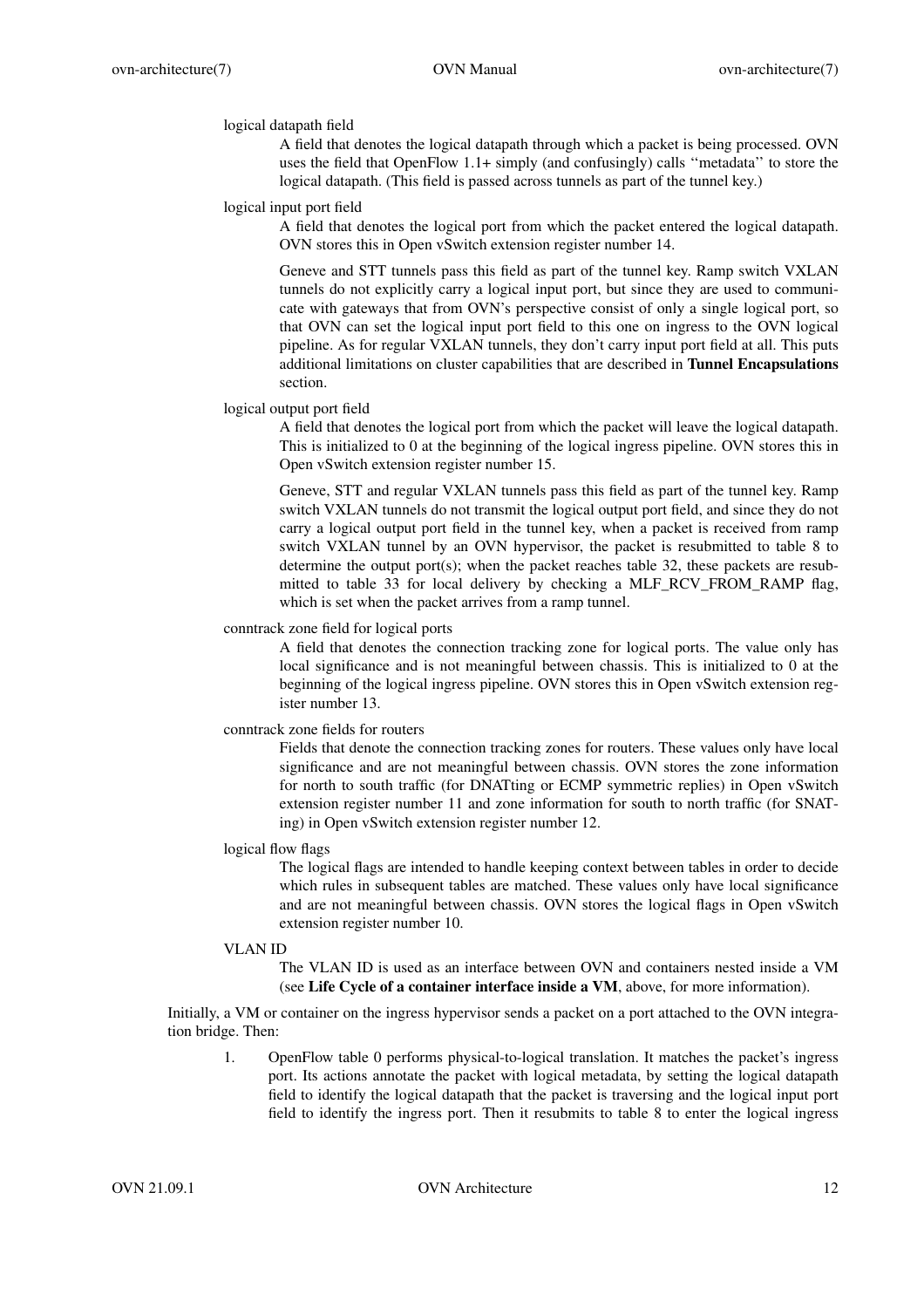# logical datapath field

A field that denotes the logical datapath through which a packet is being processed. OVN uses the field that OpenFlow 1.1+ simply (and confusingly) calls ''metadata'' to store the logical datapath. (This field is passed across tunnels as part of the tunnel key.)

### logical input port field

A field that denotes the logical port from which the packet entered the logical datapath. OVN stores this in Open vSwitch extension register number 14.

Geneve and STT tunnels pass this field as part of the tunnel key. Ramp switch VXLAN tunnels do not explicitly carry a logical input port, but since they are used to communicate with gateways that from OVN's perspective consist of only a single logical port, so that OVN can set the logical input port field to this one on ingress to the OVN logical pipeline. As for regular VXLAN tunnels, they don't carry input port field at all. This puts additional limitations on cluster capabilities that are described in **Tunnel Encapsulations** section.

### logical output port field

A field that denotes the logical port from which the packet will leave the logical datapath. This is initialized to 0 at the beginning of the logical ingress pipeline. OVN stores this in Open vSwitch extension register number 15.

Geneve, STT and regular VXLAN tunnels pass this field as part of the tunnel key. Ramp switch VXLAN tunnels do not transmit the logical output port field, and since they do not carry a logical output port field in the tunnel key, when a packet is received from ramp switch VXLAN tunnel by an OVN hypervisor, the packet is resubmitted to table 8 to determine the output port(s); when the packet reaches table 32, these packets are resubmitted to table 33 for local delivery by checking a MLF\_RCV\_FROM\_RAMP flag, which is set when the packet arrives from a ramp tunnel.

# conntrack zone field for logical ports

A field that denotes the connection tracking zone for logical ports. The value only has local significance and is not meaningful between chassis. This is initialized to 0 at the beginning of the logical ingress pipeline. OVN stores this in Open vSwitch extension register number 13.

### conntrack zone fields for routers

Fields that denote the connection tracking zones for routers. These values only have local significance and are not meaningful between chassis. OVN stores the zone information for north to south traffic (for DNATting or ECMP symmetric replies) in Open vSwitch extension register number 11 and zone information for south to north traffic (for SNATing) in Open vSwitch extension register number 12.

### logical flow flags

The logical flags are intended to handle keeping context between tables in order to decide which rules in subsequent tables are matched. These values only have local significance and are not meaningful between chassis. OVN stores the logical flags in Open vSwitch extension register number 10.

### VLAN ID

The VLAN ID is used as an interface between OVN and containers nested inside a VM (see **Life Cycle of a container interface inside a VM**, above, for more information).

Initially, a VM or container on the ingress hypervisor sends a packet on a port attached to the OVN integration bridge. Then:

1. OpenFlow table 0 performs physical-to-logical translation. It matches the packet's ingress port. Its actions annotate the packet with logical metadata, by setting the logical datapath field to identify the logical datapath that the packet is traversing and the logical input port field to identify the ingress port. Then it resubmits to table 8 to enter the logical ingress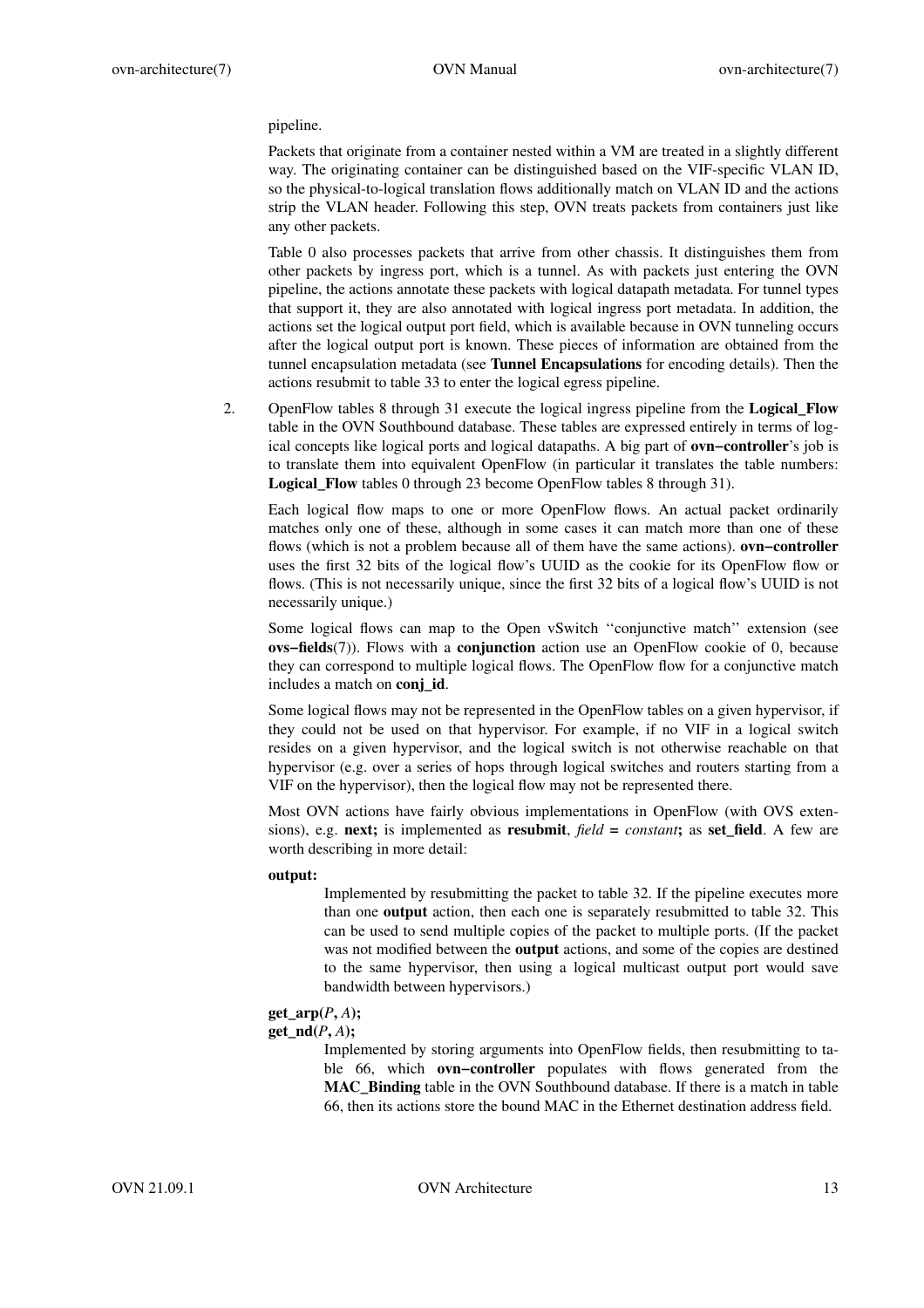pipeline.

Packets that originate from a container nested within a VM are treated in a slightly different way. The originating container can be distinguished based on the VIF-specific VLAN ID, so the physical-to-logical translation flows additionally match on VLAN ID and the actions strip the VLAN header. Following this step, OVN treats packets from containers just like any other packets.

Table 0 also processes packets that arrive from other chassis. It distinguishes them from other packets by ingress port, which is a tunnel. As with packets just entering the OVN pipeline, the actions annotate these packets with logical datapath metadata. For tunnel types that support it, they are also annotated with logical ingress port metadata. In addition, the actions set the logical output port field, which is available because in OVN tunneling occurs after the logical output port is known. These pieces of information are obtained from the tunnel encapsulation metadata (see **Tunnel Encapsulations** for encoding details). Then the actions resubmit to table 33 to enter the logical egress pipeline.

2. OpenFlow tables 8 through 31 execute the logical ingress pipeline from the **Logical\_Flow** table in the OVN Southbound database. These tables are expressed entirely in terms of logical concepts like logical ports and logical datapaths. A big part of **ovn−controller**'s job is to translate them into equivalent OpenFlow (in particular it translates the table numbers: Logical Flow tables 0 through 23 become OpenFlow tables 8 through 31).

Each logical flow maps to one or more OpenFlow flows. An actual packet ordinarily matches only one of these, although in some cases it can match more than one of these flows (which is not a problem because all of them have the same actions). **ovn−controller** uses the first 32 bits of the logical flow's UUID as the cookie for its OpenFlow flow or flows. (This is not necessarily unique, since the first 32 bits of a logical flow's UUID is not necessarily unique.)

Some logical flows can map to the Open vSwitch ''conjunctive match'' extension (see **ovs−fields**(7)). Flows with a **conjunction** action use an OpenFlow cookie of 0, because they can correspond to multiple logical flows. The OpenFlow flow for a conjunctive match includes a match on **conj\_id**.

Some logical flows may not be represented in the OpenFlow tables on a given hypervisor, if they could not be used on that hypervisor. For example, if no VIF in a logical switch resides on a given hypervisor, and the logical switch is not otherwise reachable on that hypervisor (e.g. over a series of hops through logical switches and routers starting from a VIF on the hypervisor), then the logical flow may not be represented there.

Most OVN actions have fairly obvious implementations in OpenFlow (with OVS extensions), e.g. **next;** is implemented as **resubmit**, *field* **=** *constant***;** as **set\_field**.Afew are worth describing in more detail:

#### **output:**

Implemented by resubmitting the packet to table 32. If the pipeline executes more than one **output** action, then each one is separately resubmitted to table 32. This can be used to send multiple copies of the packet to multiple ports. (If the packet was not modified between the **output** actions, and some of the copies are destined to the same hypervisor, then using a logical multicast output port would save bandwidth between hypervisors.)

# **get\_arp(***P***,** *A***);**

#### **get**  $\textbf{nd}(P, A)$ ;

Implemented by storing arguments into OpenFlow fields, then resubmitting to table 66, which **ovn−controller** populates with flows generated from the **MAC\_Binding** table in the OVN Southbound database. If there is a match in table 66, then its actions store the bound MAC in the Ethernet destination address field.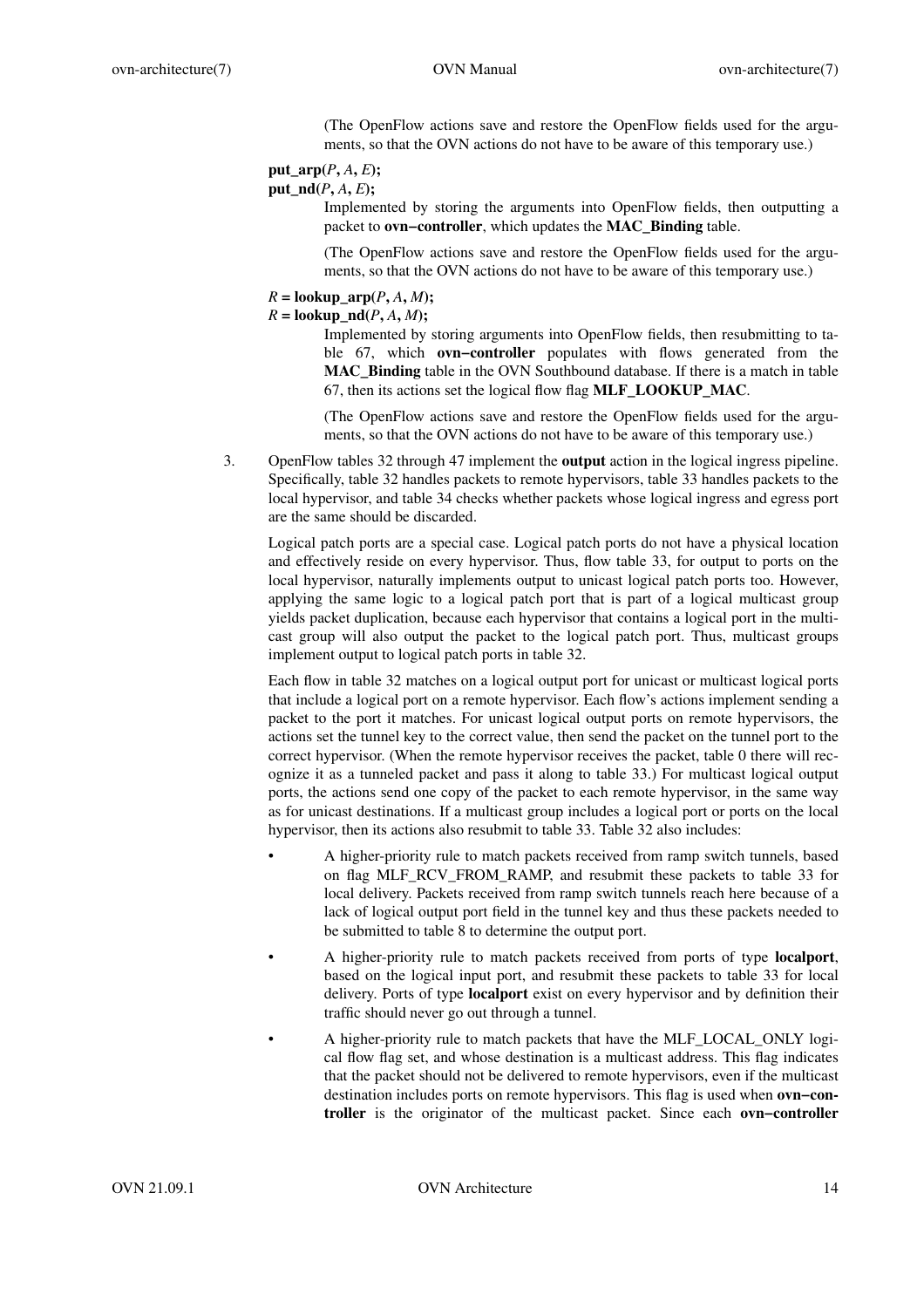(The OpenFlow actions save and restore the OpenFlow fields used for the arguments, so that the OVN actions do not have to be aware of this temporary use.)

# **put**  $\text{arp}(P, A, E)$ ;  $put\_nd(P, A, E);$

Implemented by storing the arguments into OpenFlow fields, then outputting a packet to **ovn−controller**, which updates the **MAC\_Binding** table.

(The OpenFlow actions save and restore the OpenFlow fields used for the arguments, so that the OVN actions do not have to be aware of this temporary use.)

# $R = \textbf{lookup\_arp}(P, A, M);$

# $R = \textbf{lookup} \cdot \textbf{nd}(P, A, M);$

Implemented by storing arguments into OpenFlow fields, then resubmitting to table 67, which **ovn−controller** populates with flows generated from the **MAC\_Binding** table in the OVN Southbound database. If there is a match in table 67, then its actions set the logical flow flag **MLF\_LOOKUP\_MAC**.

(The OpenFlow actions save and restore the OpenFlow fields used for the arguments, so that the OVN actions do not have to be aware of this temporary use.)

3. OpenFlow tables 32 through 47 implement the **output** action in the logical ingress pipeline. Specifically, table 32 handles packets to remote hypervisors, table 33 handles packets to the local hypervisor, and table 34 checks whether packets whose logical ingress and egress port are the same should be discarded.

Logical patch ports are a special case. Logical patch ports do not have a physical location and effectively reside on every hypervisor. Thus, flow table 33, for output to ports on the local hypervisor, naturally implements output to unicast logical patch ports too. However, applying the same logic to a logical patch port that is part of a logical multicast group yields packet duplication, because each hypervisor that contains a logical port in the multicast group will also output the packet to the logical patch port. Thus, multicast groups implement output to logical patch ports in table 32.

Each flow in table 32 matches on a logical output port for unicast or multicast logical ports that include a logical port on a remote hypervisor. Each flow's actions implement sending a packet to the port it matches. For unicast logical output ports on remote hypervisors, the actions set the tunnel key to the correct value, then send the packet on the tunnel port to the correct hypervisor. (When the remote hypervisor receives the packet, table 0 there will recognize it as a tunneled packet and pass it along to table 33.) For multicast logical output ports, the actions send one copy of the packet to each remote hypervisor, in the same way as for unicast destinations. If a multicast group includes a logical port or ports on the local hypervisor, then its actions also resubmit to table 33. Table 32 also includes:

- A higher-priority rule to match packets received from ramp switch tunnels, based on flag MLF\_RCV\_FROM\_RAMP, and resubmit these packets to table 33 for local delivery. Packets received from ramp switch tunnels reach here because of a lack of logical output port field in the tunnel key and thus these packets needed to be submitted to table 8 to determine the output port.
- A higher-priority rule to match packets received from ports of type **localport**, based on the logical input port, and resubmit these packets to table 33 for local delivery. Ports of type **localport** exist on every hypervisor and by definition their traffic should never go out through a tunnel.
- A higher-priority rule to match packets that have the MLF\_LOCAL\_ONLY logical flow flag set, and whose destination is a multicast address. This flag indicates that the packet should not be delivered to remote hypervisors, even if the multicast destination includes ports on remote hypervisors. This flag is used when **ovn−controller** is the originator of the multicast packet. Since each **ovn−controller**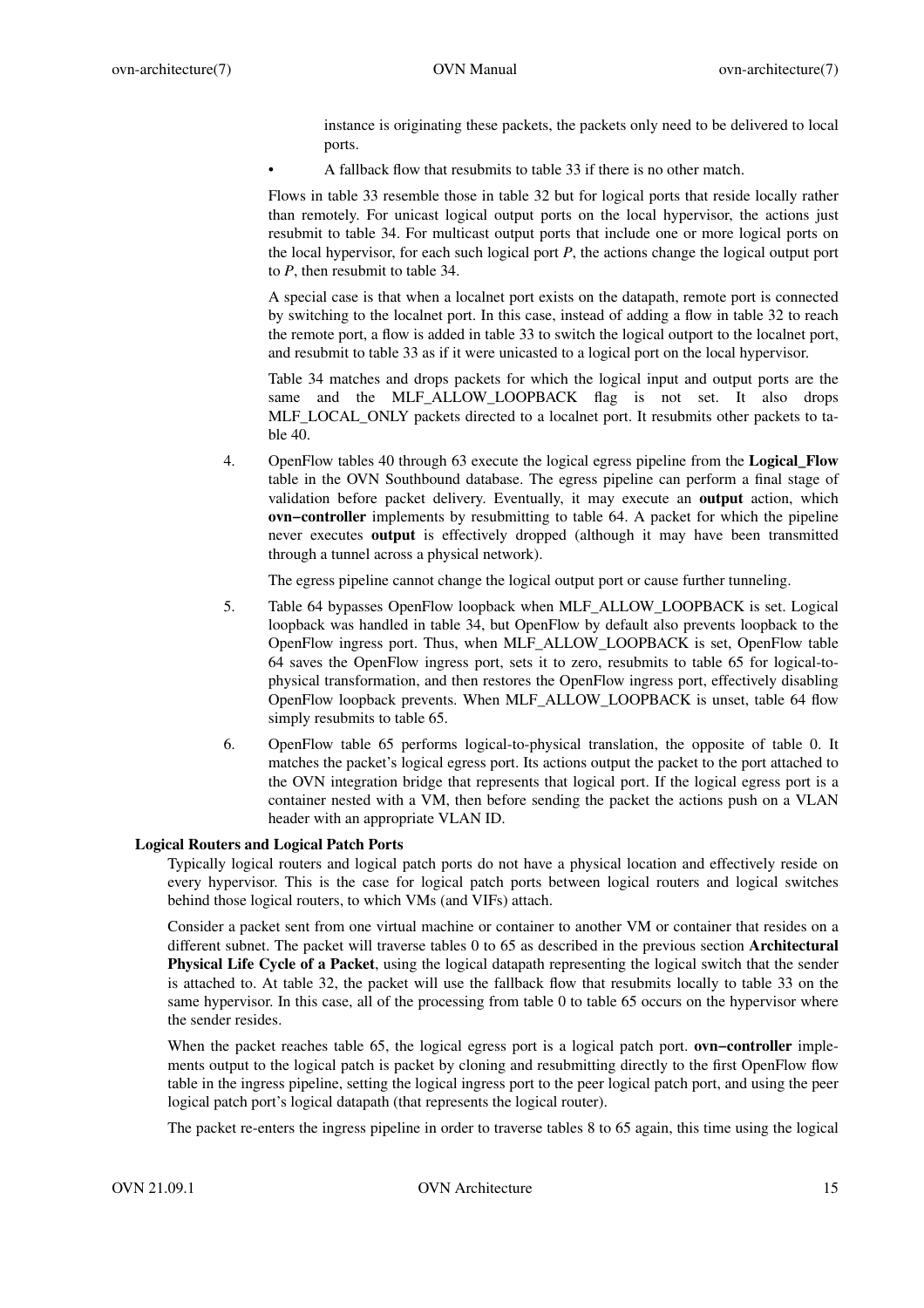instance is originating these packets, the packets only need to be delivered to local ports.

• A fallback flow that resubmits to table 33 if there is no other match.

Flows in table 33 resemble those in table 32 but for logical ports that reside locally rather than remotely. For unicast logical output ports on the local hypervisor, the actions just resubmit to table 34. For multicast output ports that include one or more logical ports on the local hypervisor, for each such logical port *P*, the actions change the logical output port to *P*, then resubmit to table 34.

A special case is that when a localnet port exists on the datapath, remote port is connected by switching to the localnet port. In this case, instead of adding a flow in table 32 to reach the remote port, a flow is added in table 33 to switch the logical outport to the localnet port, and resubmit to table 33 as if it were unicasted to a logical port on the local hypervisor.

Table 34 matches and drops packets for which the logical input and output ports are the same and the MLF\_ALLOW\_LOOPBACK flag is not set. It also drops MLF\_LOCAL\_ONLY packets directed to a localnet port. It resubmits other packets to table 40.

4. OpenFlow tables 40 through 63 execute the logical egress pipeline from the **Logical\_Flow** table in the OVN Southbound database. The egress pipeline can perform a final stage of validation before packet delivery. Eventually, it may execute an **output** action, which **ovn−controller** implements by resubmitting to table 64. A packet for which the pipeline never executes **output** is effectively dropped (although it may have been transmitted through a tunnel across a physical network).

The egress pipeline cannot change the logical output port or cause further tunneling.

- 5. Table 64 bypasses OpenFlow loopback when MLF\_ALLOW\_LOOPBACK is set. Logical loopback was handled in table 34, but OpenFlow by default also prevents loopback to the OpenFlow ingress port. Thus, when MLF\_ALLOW\_LOOPBACK is set, OpenFlow table 64 saves the OpenFlow ingress port, sets it to zero, resubmits to table 65 for logical-tophysical transformation, and then restores the OpenFlow ingress port, effectively disabling OpenFlow loopback prevents. When MLF\_ALLOW\_LOOPBACK is unset, table 64 flow simply resubmits to table 65.
- 6. OpenFlow table 65 performs logical-to-physical translation, the opposite of table 0. It matches the packet's logical egress port. Its actions output the packet to the port attached to the OVN integration bridge that represents that logical port. If the logical egress port is a container nested with a VM, then before sending the packet the actions push on a VLAN header with an appropriate VLAN ID.

# **Logical Routers and Logical Patch Ports**

Typically logical routers and logical patch ports do not have a physical location and effectively reside on every hypervisor. This is the case for logical patch ports between logical routers and logical switches behind those logical routers, to which VMs (and VIFs) attach.

Consider a packet sent from one virtual machine or container to another VM or container that resides on a different subnet. The packet will traverse tables 0 to 65 as described in the previous section **Architectural Physical Life Cycle of a Packet**, using the logical datapath representing the logical switch that the sender is attached to. At table 32, the packet will use the fallback flow that resubmits locally to table 33 on the same hypervisor. In this case, all of the processing from table 0 to table 65 occurs on the hypervisor where the sender resides.

When the packet reaches table 65, the logical egress port is a logical patch port. **ovn−controller** implements output to the logical patch is packet by cloning and resubmitting directly to the first OpenFlow flow table in the ingress pipeline, setting the logical ingress port to the peer logical patch port, and using the peer logical patch port's logical datapath (that represents the logical router).

The packet re-enters the ingress pipeline in order to traverse tables 8 to 65 again, this time using the logical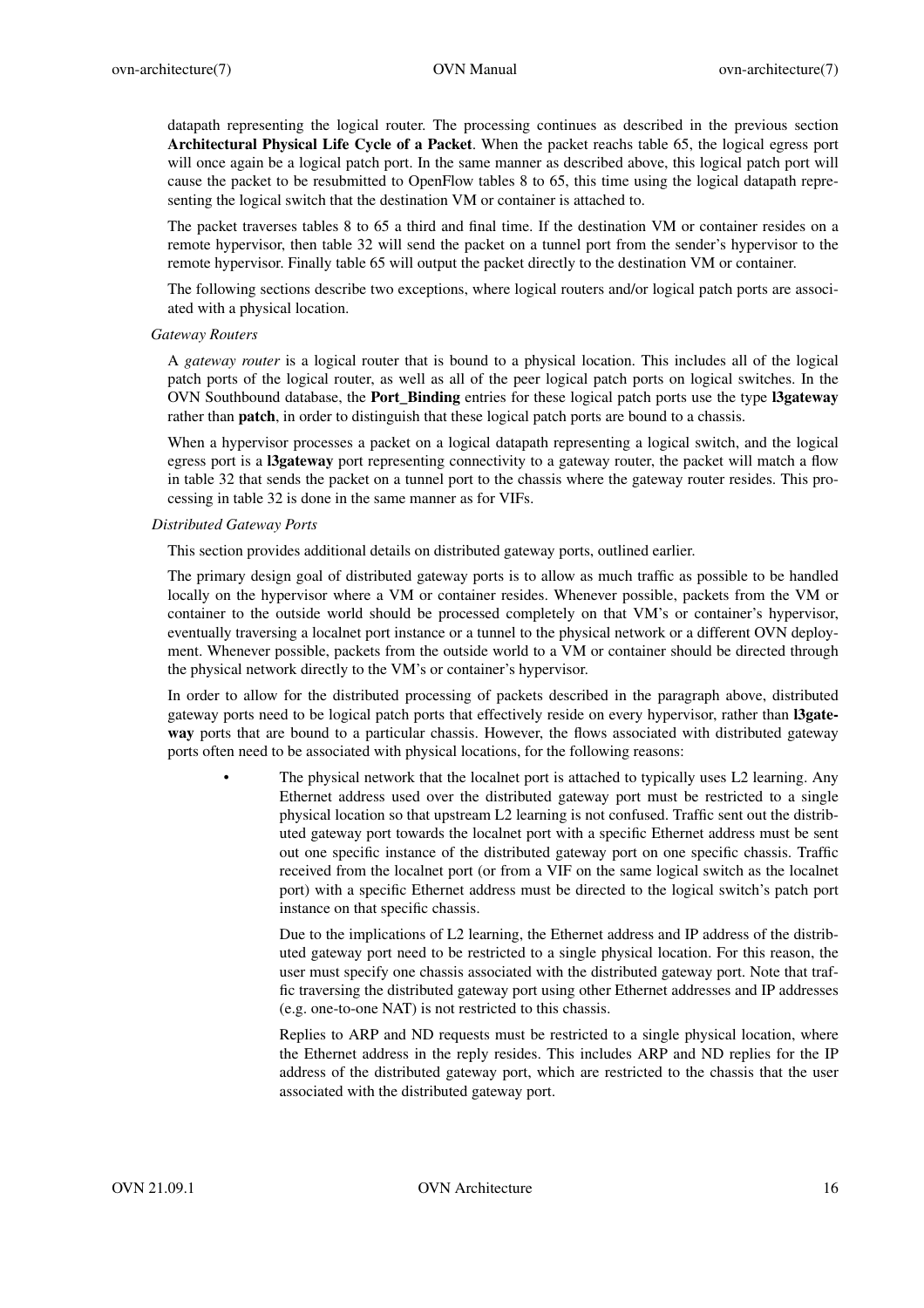datapath representing the logical router. The processing continues as described in the previous section **Architectural Physical Life Cycle of a Packet**. When the packet reachs table 65, the logical egress port will once again be a logical patch port. In the same manner as described above, this logical patch port will cause the packet to be resubmitted to OpenFlow tables 8 to 65, this time using the logical datapath representing the logical switch that the destination VM or container is attached to.

The packet traverses tables 8 to 65 a third and final time. If the destination VM or container resides on a remote hypervisor, then table 32 will send the packet on a tunnel port from the sender's hypervisor to the remote hypervisor. Finally table 65 will output the packet directly to the destination VM or container.

The following sections describe two exceptions, where logical routers and/or logical patch ports are associated with a physical location.

#### *Gateway Routers*

A *gateway router* is a logical router that is bound to a physical location. This includes all of the logical patch ports of the logical router, as well as all of the peer logical patch ports on logical switches. In the OVN Southbound database, the **Port\_Binding** entries for these logical patch ports use the type **l3gateway** rather than **patch**, in order to distinguish that these logical patch ports are bound to a chassis.

When a hypervisor processes a packet on a logical datapath representing a logical switch, and the logical egress port is a **l3gateway** port representing connectivity to a gateway router, the packet will match a flow in table 32 that sends the packet on a tunnel port to the chassis where the gateway router resides. This processing in table 32 is done in the same manner as for VIFs.

#### *Distributed Gateway Ports*

This section provides additional details on distributed gateway ports, outlined earlier.

The primary design goal of distributed gateway ports is to allow as much traffic as possible to be handled locally on the hypervisor where a VM or container resides. Whenever possible, packets from the VM or container to the outside world should be processed completely on that VM's or container's hypervisor, eventually traversing a localnet port instance or a tunnel to the physical network or a different OVN deployment. Whenever possible, packets from the outside world to a VM or container should be directed through the physical network directly to the VM's or container's hypervisor.

In order to allow for the distributed processing of packets described in the paragraph above, distributed gateway ports need to be logical patch ports that effectively reside on every hypervisor, rather than **l3gateway** ports that are bound to a particular chassis. However, the flows associated with distributed gateway ports often need to be associated with physical locations, for the following reasons:

> The physical network that the localnet port is attached to typically uses L2 learning. Any Ethernet address used over the distributed gateway port must be restricted to a single physical location so that upstream L2 learning is not confused. Traffic sent out the distributed gateway port towards the localnet port with a specific Ethernet address must be sent out one specific instance of the distributed gateway port on one specific chassis. Traffic received from the localnet port (or from a VIF on the same logical switch as the localnet port) with a specific Ethernet address must be directed to the logical switch's patch port instance on that specific chassis.

Due to the implications of L2 learning, the Ethernet address and IP address of the distributed gateway port need to be restricted to a single physical location. For this reason, the user must specify one chassis associated with the distributed gateway port. Note that traffic traversing the distributed gateway port using other Ethernet addresses and IP addresses (e.g. one-to-one NAT) is not restricted to this chassis.

Replies to ARP and ND requests must be restricted to a single physical location, where the Ethernet address in the reply resides. This includes ARP and ND replies for the IP address of the distributed gateway port, which are restricted to the chassis that the user associated with the distributed gateway port.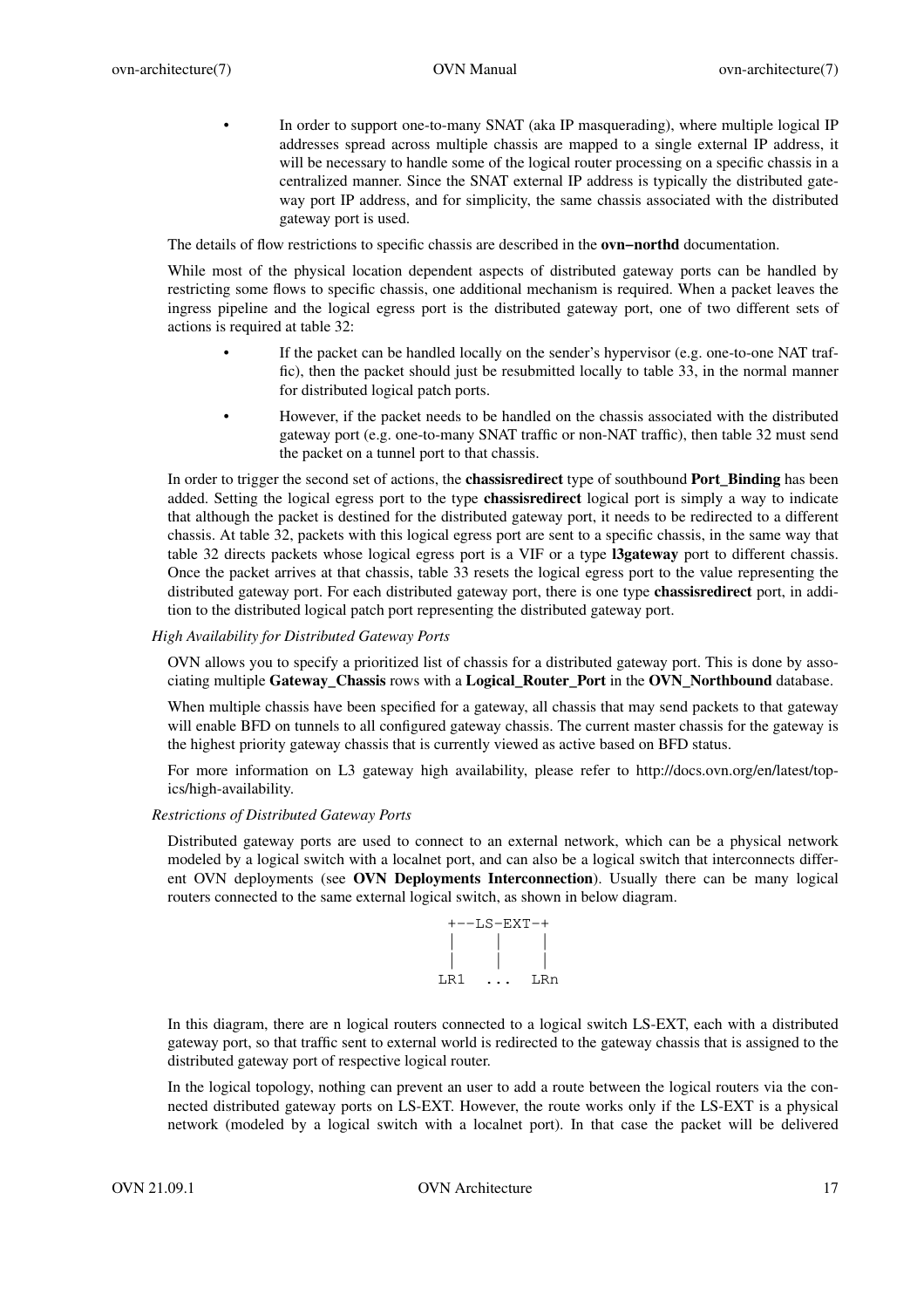• In order to support one-to-many SNAT (aka IP masquerading), where multiple logical IP addresses spread across multiple chassis are mapped to a single external IP address, it will be necessary to handle some of the logical router processing on a specific chassis in a centralized manner. Since the SNAT external IP address is typically the distributed gateway port IP address, and for simplicity, the same chassis associated with the distributed gateway port is used.

The details of flow restrictions to specific chassis are described in the **ovn−northd** documentation.

While most of the physical location dependent aspects of distributed gateway ports can be handled by restricting some flows to specific chassis, one additional mechanism is required. When a packet leaves the ingress pipeline and the logical egress port is the distributed gateway port, one of two different sets of actions is required at table 32:

- If the packet can be handled locally on the sender's hypervisor (e.g. one-to-one NAT traffic), then the packet should just be resubmitted locally to table 33, in the normal manner for distributed logical patch ports.
- However, if the packet needs to be handled on the chassis associated with the distributed gateway port (e.g. one-to-many SNAT traffic or non-NAT traffic), then table 32 must send the packet on a tunnel port to that chassis.

In order to trigger the second set of actions, the **chassisredirect** type of southbound **Port\_Binding** has been added. Setting the logical egress port to the type **chassisredirect** logical port is simply a way to indicate that although the packet is destined for the distributed gateway port, it needs to be redirected to a different chassis. At table 32, packets with this logical egress port are sent to a specific chassis, in the same way that table 32 directs packets whose logical egress port is a VIF or a type **l3gateway** port to different chassis. Once the packet arrives at that chassis, table 33 resets the logical egress port to the value representing the distributed gateway port. For each distributed gateway port, there is one type **chassisredirect** port, in addition to the distributed logical patch port representing the distributed gateway port.

# *High Availability for Distributed Gateway Ports*

OVN allows you to specify a prioritized list of chassis for a distributed gateway port. This is done by associating multiple **Gateway\_Chassis** rows with a **Logical\_Router\_Port** in the **OVN\_Northbound** database.

When multiple chassis have been specified for a gateway, all chassis that may send packets to that gateway will enable BFD on tunnels to all configured gateway chassis. The current master chassis for the gateway is the highest priority gateway chassis that is currently viewed as active based on BFD status.

For more information on L3 gateway high availability, please refer to http://docs.ovn.org/en/latest/topics/high-availability.

### *Restrictions of Distributed Gateway Ports*

Distributed gateway ports are used to connect to an external network, which can be a physical network modeled by a logical switch with a localnet port, and can also be a logical switch that interconnects different OVN deployments (see **OVN Deployments Interconnection**). Usually there can be many logical routers connected to the same external logical switch, as shown in below diagram.



In this diagram, there are n logical routers connected to a logical switch LS-EXT, each with a distributed gateway port, so that traffic sent to external world is redirected to the gateway chassis that is assigned to the distributed gateway port of respective logical router.

In the logical topology, nothing can prevent an user to add a route between the logical routers via the connected distributed gateway ports on LS-EXT. However, the route works only if the LS-EXT is a physical network (modeled by a logical switch with a localnet port). In that case the packet will be delivered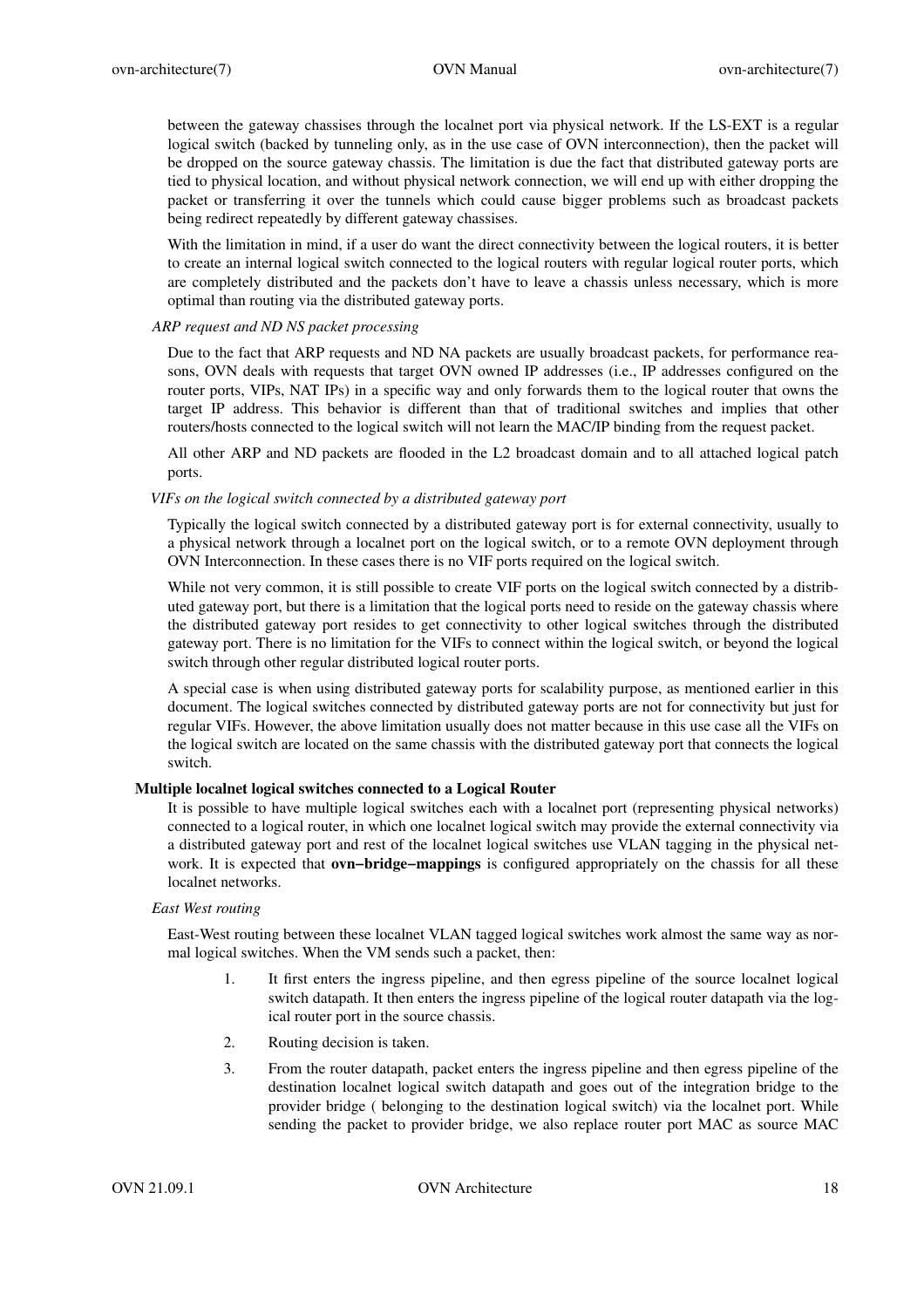between the gateway chassises through the localnet port via physical network. If the LS-EXT is a regular logical switch (backed by tunneling only, as in the use case of OVN interconnection), then the packet will be dropped on the source gateway chassis. The limitation is due the fact that distributed gateway ports are tied to physical location, and without physical network connection, we will end up with either dropping the packet or transferring it over the tunnels which could cause bigger problems such as broadcast packets being redirect repeatedly by different gateway chassises.

With the limitation in mind, if a user do want the direct connectivity between the logical routers, it is better to create an internal logical switch connected to the logical routers with regular logical router ports, which are completely distributed and the packets don't have to leave a chassis unless necessary, which is more optimal than routing via the distributed gateway ports.

# *ARP request and ND NS packet processing*

Due to the fact that ARP requests and ND NA packets are usually broadcast packets, for performance reasons, OVN deals with requests that target OVN owned IP addresses (i.e., IP addresses configured on the router ports, VIPs, NAT IPs) in a specific way and only forwards them to the logical router that owns the target IP address. This behavior is different than that of traditional switches and implies that other routers/hosts connected to the logical switch will not learn the MAC/IP binding from the request packet.

All other ARP and ND packets are flooded in the L2 broadcast domain and to all attached logical patch ports.

# *VIFs on the logical switch connected by a distributed gateway port*

Typically the logical switch connected by a distributed gateway port is for external connectivity, usually to a physical network through a localnet port on the logical switch, or to a remote OVN deployment through OVN Interconnection. In these cases there is no VIF ports required on the logical switch.

While not very common, it is still possible to create VIF ports on the logical switch connected by a distributed gateway port, but there is a limitation that the logical ports need to reside on the gateway chassis where the distributed gateway port resides to get connectivity to other logical switches through the distributed gateway port. There is no limitation for the VIFs to connect within the logical switch, or beyond the logical switch through other regular distributed logical router ports.

A special case is when using distributed gateway ports for scalability purpose, as mentioned earlier in this document. The logical switches connected by distributed gateway ports are not for connectivity but just for regular VIFs. However, the above limitation usually does not matter because in this use case all the VIFs on the logical switch are located on the same chassis with the distributed gateway port that connects the logical switch.

# **Multiple localnet logical switches connected to a Logical Router**

It is possible to have multiple logical switches each with a localnet port (representing physical networks) connected to a logical router, in which one localnet logical switch may provide the external connectivity via a distributed gateway port and rest of the localnet logical switches use VLAN tagging in the physical network. It is expected that **ovn−bridge−mappings** is configured appropriately on the chassis for all these localnet networks.

# *East West routing*

East-West routing between these localnet VLAN tagged logical switches work almost the same way as normal logical switches. When the VM sends such a packet, then:

- 1. It first enters the ingress pipeline, and then egress pipeline of the source localnet logical switch datapath. It then enters the ingress pipeline of the logical router datapath via the logical router port in the source chassis.
- 2. Routing decision is taken.
- 3. From the router datapath, packet enters the ingress pipeline and then egress pipeline of the destination localnet logical switch datapath and goes out of the integration bridge to the provider bridge ( belonging to the destination logical switch) via the localnet port. While sending the packet to provider bridge, we also replace router port MAC as source MAC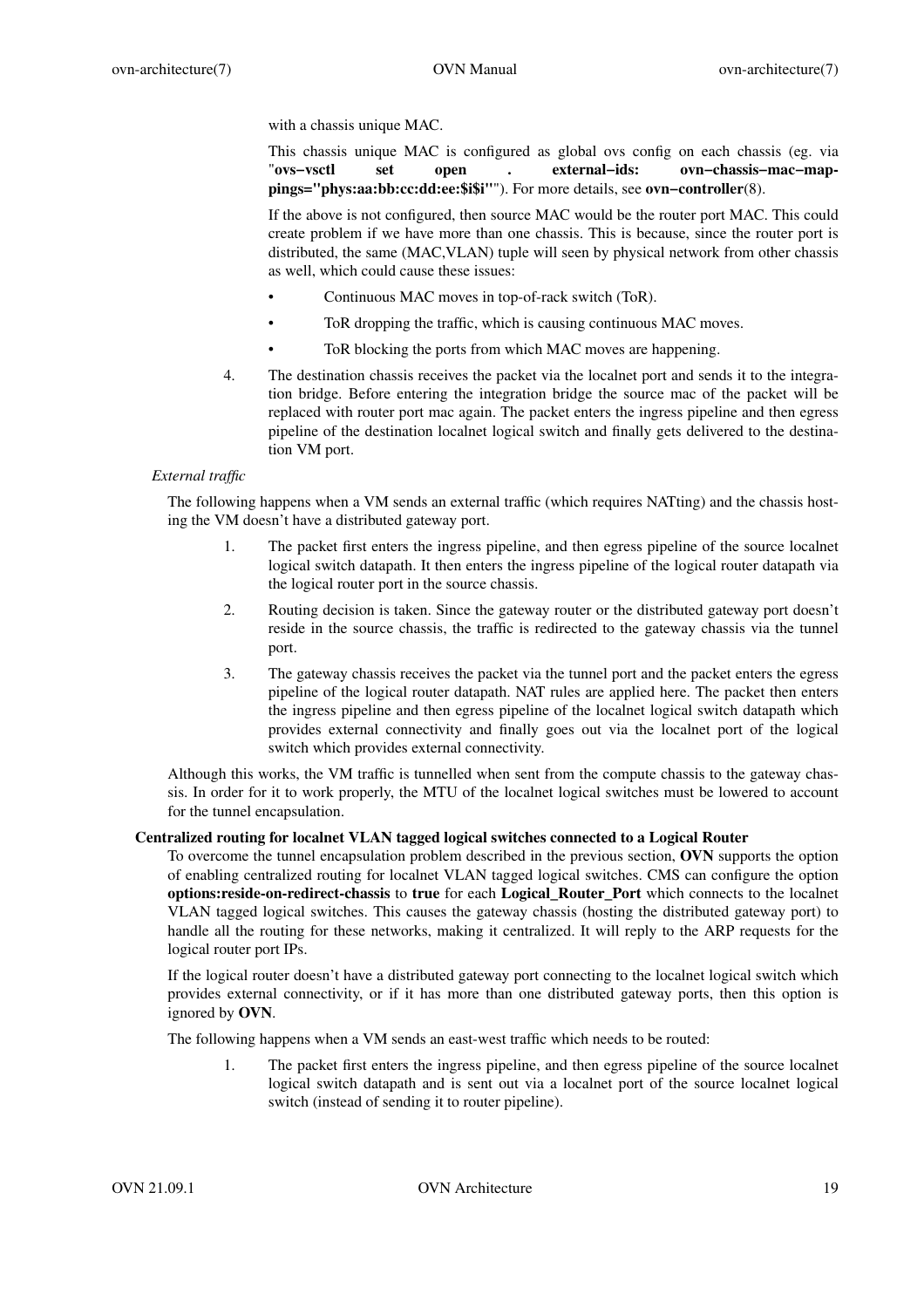with a chassis unique MAC.

This chassis unique MAC is configured as global ovs config on each chassis (eg. via "**ovs−vsctl set open . external−ids: ovn−chassis−mac−mappings="phys:aa:bb:cc:dd:ee:\$i\$i"**"). For more details, see **ovn−controller**(8).

If the above is not configured, then source MAC would be the router port MAC. This could create problem if we have more than one chassis. This is because, since the router port is distributed, the same (MAC,VLAN) tuple will seen by physical network from other chassis as well, which could cause these issues:

- Continuous MAC moves in top-of-rack switch (ToR).
- ToR dropping the traffic, which is causing continuous MAC moves.
- ToR blocking the ports from which MAC moves are happening.
- 4. The destination chassis receives the packet via the localnet port and sends it to the integration bridge. Before entering the integration bridge the source mac of the packet will be replaced with router port mac again. The packet enters the ingress pipeline and then egress pipeline of the destination localnet logical switch and finally gets delivered to the destination VM port.

# *External traffic*

The following happens when a VM sends an external traffic (which requires NATting) and the chassis hosting the VM doesn't have a distributed gateway port.

- 1. The packet first enters the ingress pipeline, and then egress pipeline of the source localnet logical switch datapath. It then enters the ingress pipeline of the logical router datapath via the logical router port in the source chassis.
- 2. Routing decision is taken. Since the gateway router or the distributed gateway port doesn't reside in the source chassis, the traffic is redirected to the gateway chassis via the tunnel port.
- 3. The gateway chassis receives the packet via the tunnel port and the packet enters the egress pipeline of the logical router datapath. NAT rules are applied here. The packet then enters the ingress pipeline and then egress pipeline of the localnet logical switch datapath which provides external connectivity and finally goes out via the localnet port of the logical switch which provides external connectivity.

Although this works, the VM traffic is tunnelled when sent from the compute chassis to the gateway chassis. In order for it to work properly, the MTU of the localnet logical switches must be lowered to account for the tunnel encapsulation.

### **Centralized routing for localnet VLAN tagged logical switches connected to a Logical Router**

To overcome the tunnel encapsulation problem described in the previous section, **OVN** supports the option of enabling centralized routing for localnet VLAN tagged logical switches. CMS can configure the option **options:reside-on-redirect-chassis** to **true** for each **Logical\_Router\_Port** which connects to the localnet VLAN tagged logical switches. This causes the gateway chassis (hosting the distributed gateway port) to handle all the routing for these networks, making it centralized. It will reply to the ARP requests for the logical router port IPs.

If the logical router doesn't have a distributed gateway port connecting to the localnet logical switch which provides external connectivity, or if it has more than one distributed gateway ports, then this option is ignored by **OVN**.

The following happens when a VM sends an east-west traffic which needs to be routed:

1. The packet first enters the ingress pipeline, and then egress pipeline of the source localnet logical switch datapath and is sent out via a localnet port of the source localnet logical switch (instead of sending it to router pipeline).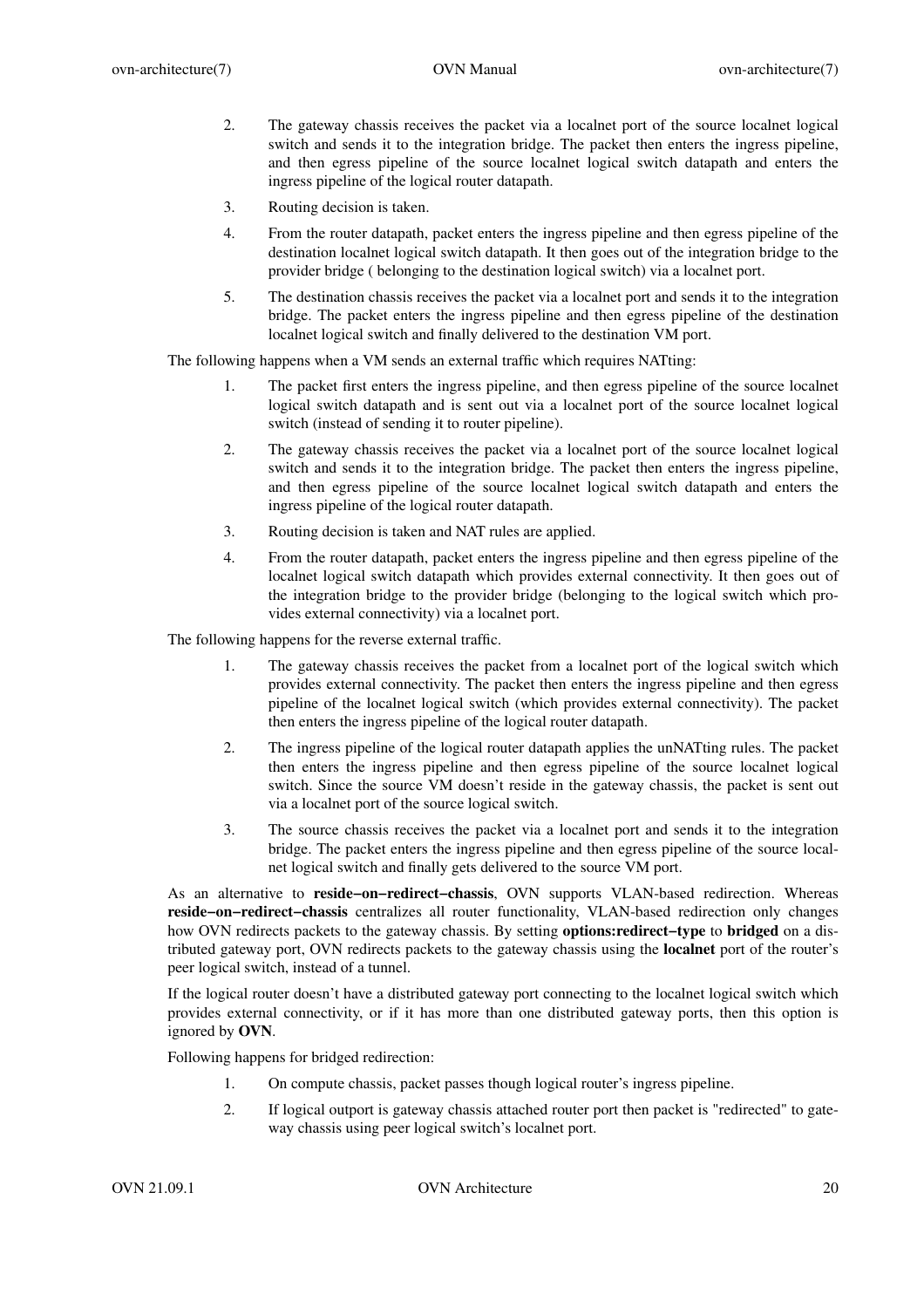- 2. The gateway chassis receives the packet via a localnet port of the source localnet logical switch and sends it to the integration bridge. The packet then enters the ingress pipeline, and then egress pipeline of the source localnet logical switch datapath and enters the ingress pipeline of the logical router datapath.
- 3. Routing decision is taken.
- 4. From the router datapath, packet enters the ingress pipeline and then egress pipeline of the destination localnet logical switch datapath. It then goes out of the integration bridge to the provider bridge ( belonging to the destination logical switch) via a localnet port.
- 5. The destination chassis receives the packet via a localnet port and sends it to the integration bridge. The packet enters the ingress pipeline and then egress pipeline of the destination localnet logical switch and finally delivered to the destination VM port.

The following happens when a VM sends an external traffic which requires NATting:

- 1. The packet first enters the ingress pipeline, and then egress pipeline of the source localnet logical switch datapath and is sent out via a localnet port of the source localnet logical switch (instead of sending it to router pipeline).
- 2. The gateway chassis receives the packet via a localnet port of the source localnet logical switch and sends it to the integration bridge. The packet then enters the ingress pipeline, and then egress pipeline of the source localnet logical switch datapath and enters the ingress pipeline of the logical router datapath.
- 3. Routing decision is taken and NAT rules are applied.
- 4. From the router datapath, packet enters the ingress pipeline and then egress pipeline of the localnet logical switch datapath which provides external connectivity. It then goes out of the integration bridge to the provider bridge (belonging to the logical switch which provides external connectivity) via a localnet port.

The following happens for the reverse external traffic.

- 1. The gateway chassis receives the packet from a localnet port of the logical switch which provides external connectivity. The packet then enters the ingress pipeline and then egress pipeline of the localnet logical switch (which provides external connectivity). The packet then enters the ingress pipeline of the logical router datapath.
- 2. The ingress pipeline of the logical router datapath applies the unNATting rules. The packet then enters the ingress pipeline and then egress pipeline of the source localnet logical switch. Since the source VM doesn't reside in the gateway chassis, the packet is sent out via a localnet port of the source logical switch.
- 3. The source chassis receives the packet via a localnet port and sends it to the integration bridge. The packet enters the ingress pipeline and then egress pipeline of the source localnet logical switch and finally gets delivered to the source VM port.

As an alternative to **reside−on−redirect−chassis**, OVN supports VLAN-based redirection. Whereas **reside−on−redirect−chassis** centralizes all router functionality, VLAN-based redirection only changes how OVN redirects packets to the gateway chassis. By setting **options:redirect−type** to **bridged** on a distributed gateway port, OVN redirects packets to the gateway chassis using the **localnet** port of the router's peer logical switch, instead of a tunnel.

If the logical router doesn't have a distributed gateway port connecting to the localnet logical switch which provides external connectivity, or if it has more than one distributed gateway ports, then this option is ignored by **OVN**.

Following happens for bridged redirection:

- 1. On compute chassis, packet passes though logical router's ingress pipeline.
- 2. If logical outport is gateway chassis attached router port then packet is "redirected" to gateway chassis using peer logical switch's localnet port.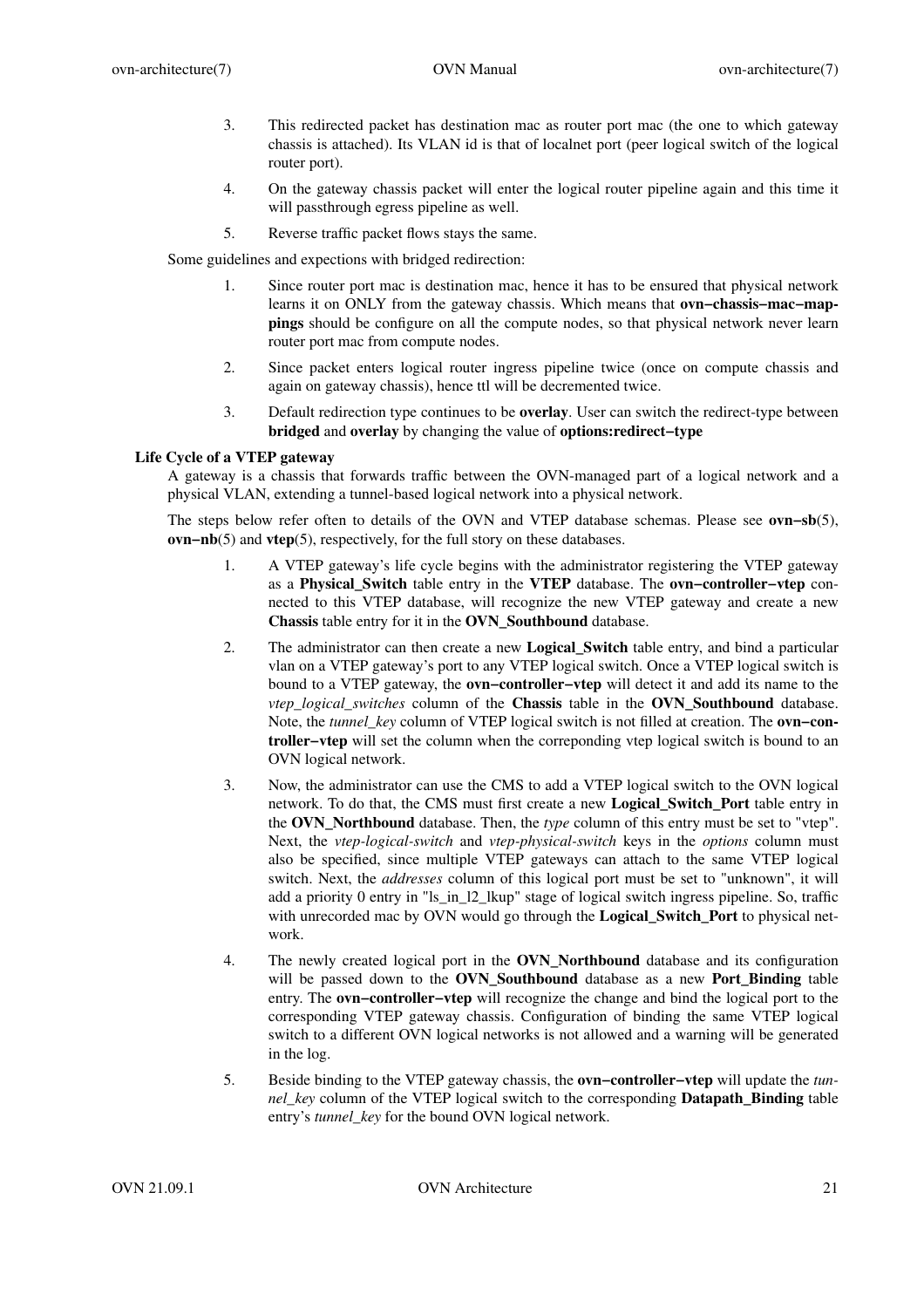- 3. This redirected packet has destination mac as router port mac (the one to which gateway chassis is attached). Its VLAN id is that of localnet port (peer logical switch of the logical router port).
- 4. On the gateway chassis packet will enter the logical router pipeline again and this time it will passthrough egress pipeline as well.
- 5. Reverse traffic packet flows stays the same.

Some guidelines and expections with bridged redirection:

- 1. Since router port mac is destination mac, hence it has to be ensured that physical network learns it on ONLY from the gateway chassis. Which means that **ovn−chassis−mac−mappings** should be configure on all the compute nodes, so that physical network never learn router port mac from compute nodes.
- 2. Since packet enters logical router ingress pipeline twice (once on compute chassis and again on gateway chassis), hence ttl will be decremented twice.
- 3. Default redirection type continues to be **overlay**. User can switch the redirect-type between **bridged** and **overlay** by changing the value of **options:redirect−type**

# **Life Cycle of a VTEP gateway**

A gateway is a chassis that forwards traffic between the OVN-managed part of a logical network and a physical VLAN, extending a tunnel-based logical network into a physical network.

The steps below refer often to details of the OVN and VTEP database schemas. Please see **ovn−sb**(5), **ovn−nb**(5) and **vtep**(5), respectively, for the full story on these databases.

- 1. A VTEP gateway's life cycle begins with the administrator registering the VTEP gateway as a **Physical\_Switch** table entry in the **VTEP** database. The **ovn−controller−vtep** connected to this VTEP database, will recognize the new VTEP gateway and create a new **Chassis** table entry for it in the **OVN\_Southbound** database.
- 2. The administrator can then create a new **Logical\_Switch** table entry, and bind a particular vlan on a VTEP gateway's port to any VTEP logical switch. Once a VTEP logical switch is bound to a VTEP gateway, the **ovn−controller−vtep** will detect it and add its name to the *vtep\_logical\_switches* column of the **Chassis** table in the **OVN\_Southbound** database. Note, the *tunnel\_key* column of VTEP logical switch is not filled at creation. The **ovn−controller−vtep** will set the column when the correponding vtep logical switch is bound to an OVN logical network.
- 3. Now, the administrator can use the CMS to add a VTEP logical switch to the OVN logical network. To do that, the CMS must first create a new **Logical\_Switch\_Port** table entry in the **OVN\_Northbound** database. Then, the *type* column of this entry must be set to "vtep". Next, the *vtep-logical-switch* and *vtep-physical-switch* keys in the *options* column must also be specified, since multiple VTEP gateways can attach to the same VTEP logical switch. Next, the *addresses* column of this logical port must be set to "unknown", it will add a priority 0 entry in "ls\_in\_l2\_lkup" stage of logical switch ingress pipeline. So, traffic with unrecorded mac by OVN would go through the **Logical\_Switch\_Port** to physical network.
- 4. The newly created logical port in the **OVN\_Northbound** database and its configuration will be passed down to the **OVN\_Southbound** database as a new **Port\_Binding** table entry. The **ovn−controller−vtep** will recognize the change and bind the logical port to the corresponding VTEP gateway chassis. Configuration of binding the same VTEP logical switch to a different OVN logical networks is not allowed and a warning will be generated in the log.
- 5. Beside binding to the VTEP gateway chassis, the **ovn−controller−vtep** will update the *tunnel\_key* column of the VTEP logical switch to the corresponding **Datapath\_Binding** table entry's *tunnel key* for the bound OVN logical network.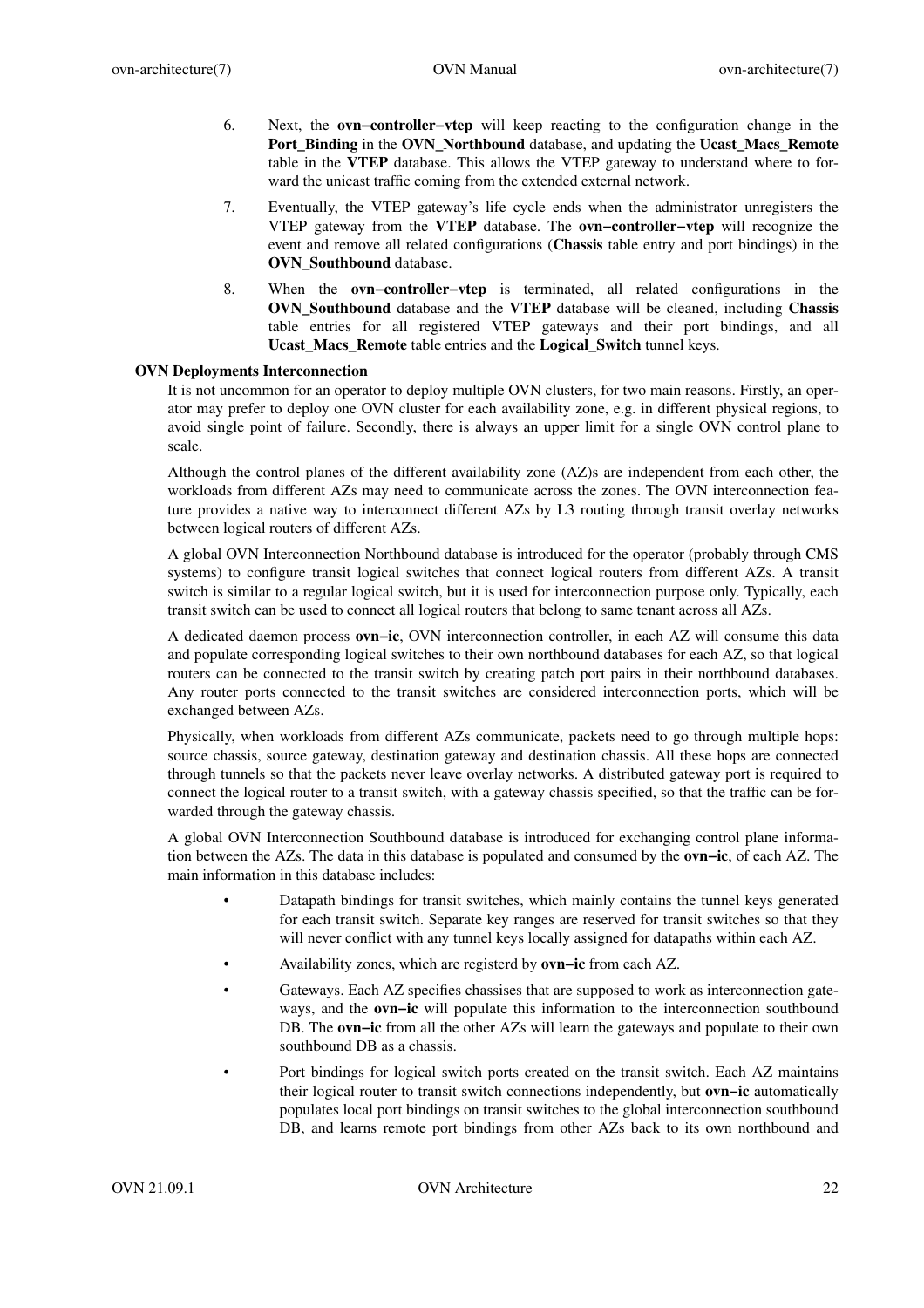- 6. Next, the **ovn−controller−vtep** will keep reacting to the configuration change in the **Port\_Binding** in the **OVN\_Northbound** database, and updating the **Ucast\_Macs\_Remote** table in the **VTEP** database. This allows the VTEP gateway to understand where to forward the unicast traffic coming from the extended external network.
- 7. Eventually, the VTEP gateway's life cycle ends when the administrator unregisters the VTEP gateway from the **VTEP** database. The **ovn−controller−vtep** will recognize the event and remove all related configurations (**Chassis** table entry and port bindings) in the **OVN** Southbound database.
- 8. When the **ovn−controller−vtep** is terminated, all related configurations in the **OVN\_Southbound** database and the **VTEP** database will be cleaned, including **Chassis** table entries for all registered VTEP gateways and their port bindings, and all **Ucast\_Macs\_Remote** table entries and the **Logical\_Switch** tunnel keys.

# **OVN Deployments Interconnection**

It is not uncommon for an operator to deploy multiple OVN clusters, for two main reasons. Firstly, an operator may prefer to deploy one OVN cluster for each availability zone, e.g. in different physical regions, to avoid single point of failure. Secondly, there is always an upper limit for a single OVN control plane to scale.

Although the control planes of the different availability zone (AZ)s are independent from each other, the workloads from different AZs may need to communicate across the zones. The OVN interconnection feature provides a native way to interconnect different AZs by L3 routing through transit overlay networks between logical routers of different AZs.

A global OVN Interconnection Northbound database is introduced for the operator (probably through CMS systems) to configure transit logical switches that connect logical routers from different AZs. A transit switch is similar to a regular logical switch, but it is used for interconnection purpose only. Typically, each transit switch can be used to connect all logical routers that belong to same tenant across all AZs.

A dedicated daemon process **ovn−ic**, OVN interconnection controller, in each AZ will consume this data and populate corresponding logical switches to their own northbound databases for each AZ, so that logical routers can be connected to the transit switch by creating patch port pairs in their northbound databases. Any router ports connected to the transit switches are considered interconnection ports, which will be exchanged between AZs.

Physically, when workloads from different AZs communicate, packets need to go through multiple hops: source chassis, source gateway, destination gateway and destination chassis. All these hops are connected through tunnels so that the packets never leave overlay networks. A distributed gateway port is required to connect the logical router to a transit switch, with a gateway chassis specified, so that the traffic can be forwarded through the gateway chassis.

A global OVN Interconnection Southbound database is introduced for exchanging control plane information between the AZs. The data in this database is populated and consumed by the **ovn−ic**, of each AZ. The main information in this database includes:

- Datapath bindings for transit switches, which mainly contains the tunnel keys generated for each transit switch. Separate key ranges are reserved for transit switches so that they will never conflict with any tunnel keys locally assigned for datapaths within each AZ.
- Av ailability zones, which are registerd by **ovn−ic** from each AZ.
- Gateways. Each AZ specifies chassises that are supposed to work as interconnection gateways, and the **ovn−ic** will populate this information to the interconnection southbound DB. The **ovn−ic** from all the other AZs will learn the gateways and populate to their own southbound DB as a chassis.
- Port bindings for logical switch ports created on the transit switch. Each AZ maintains their logical router to transit switch connections independently, but **ovn−ic** automatically populates local port bindings on transit switches to the global interconnection southbound DB, and learns remote port bindings from other AZs back to its own northbound and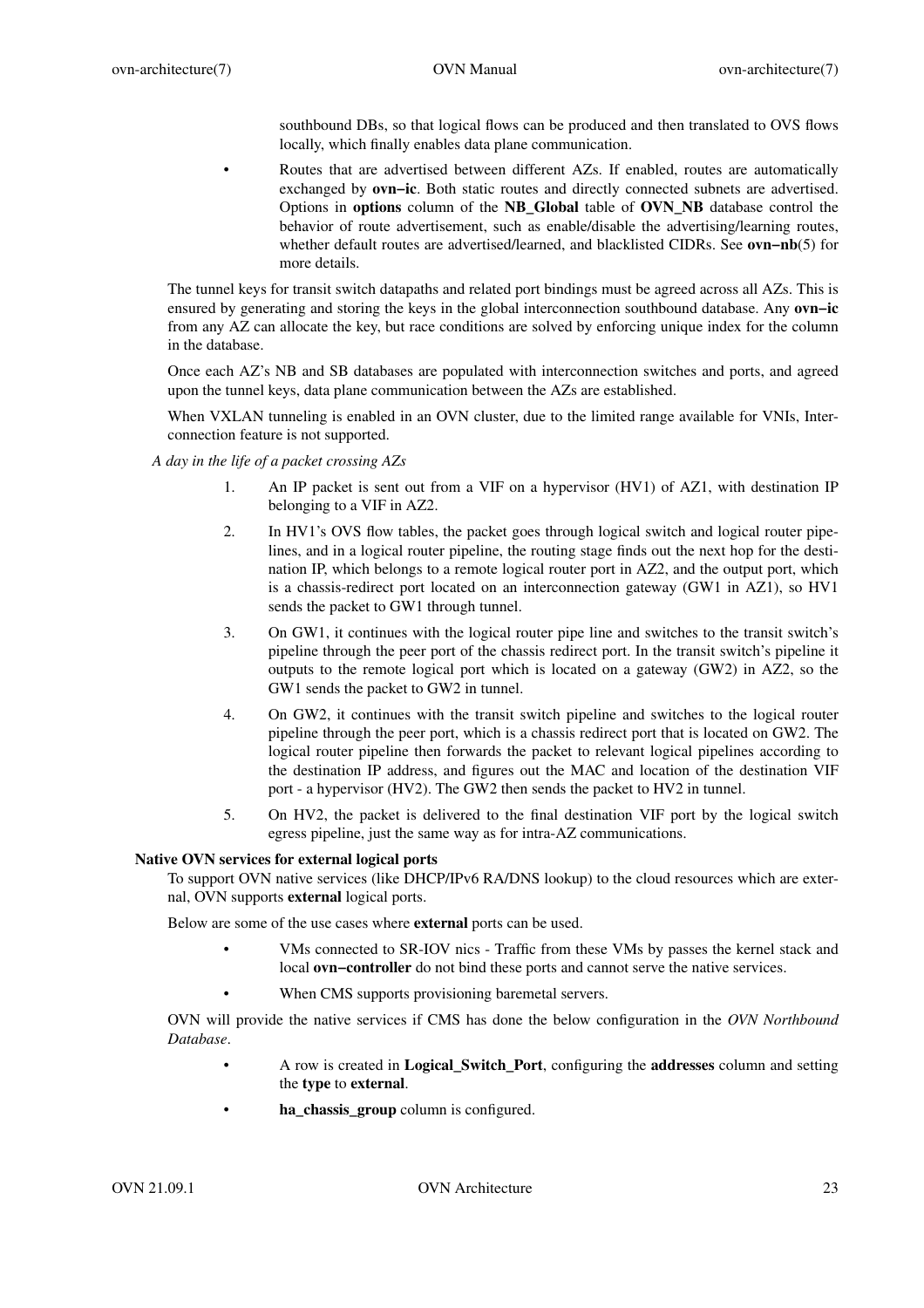southbound DBs, so that logical flows can be produced and then translated to OVS flows locally, which finally enables data plane communication.

• Routes that are advertised between different AZs. If enabled, routes are automatically exchanged by **ovn−ic**. Both static routes and directly connected subnets are advertised. Options in **options** column of the **NB\_Global** table of **OVN\_NB** database control the behavior of route advertisement, such as enable/disable the advertising/learning routes, whether default routes are advertised/learned, and blacklisted CIDRs. See **ovn−nb**(5) for more details.

The tunnel keys for transit switch datapaths and related port bindings must be agreed across all AZs. This is ensured by generating and storing the keys in the global interconnection southbound database. Any **ovn−ic** from any AZ can allocate the key, but race conditions are solved by enforcing unique index for the column in the database.

Once each AZ's NB and SB databases are populated with interconnection switches and ports, and agreed upon the tunnel keys, data plane communication between the AZs are established.

When VXLAN tunneling is enabled in an OVN cluster, due to the limited range available for VNIs, Interconnection feature is not supported.

- *A day in the life of a packet crossing AZs*
	- 1. An IP packet is sent out from a VIF on a hypervisor (HV1) of AZ1, with destination IP belonging to a VIF in AZ2.
	- 2. In HV1's OVS flow tables, the packet goes through logical switch and logical router pipelines, and in a logical router pipeline, the routing stage finds out the next hop for the destination IP, which belongs to a remote logical router port in AZ2, and the output port, which is a chassis-redirect port located on an interconnection gateway (GW1 in AZ1), so HV1 sends the packet to GW1 through tunnel.
	- 3. On GW1, it continues with the logical router pipe line and switches to the transit switch's pipeline through the peer port of the chassis redirect port. In the transit switch's pipeline it outputs to the remote logical port which is located on a gateway (GW2) in AZ2, so the GW1 sends the packet to GW2 in tunnel.
	- 4. On GW2, it continues with the transit switch pipeline and switches to the logical router pipeline through the peer port, which is a chassis redirect port that is located on GW2. The logical router pipeline then forwards the packet to relevant logical pipelines according to the destination IP address, and figures out the MAC and location of the destination VIF port - a hypervisor (HV2). The GW2 then sends the packet to HV2 in tunnel.
	- 5. On HV2, the packet is delivered to the final destination VIF port by the logical switch egress pipeline, just the same way as for intra-AZ communications.

# **Native OVN services for external logical ports**

To support OVN native services (like DHCP/IPv6 RA/DNS lookup) to the cloud resources which are external, OVN supports **external** logical ports.

Below are some of the use cases where **external** ports can be used.

- VMs connected to SR-IOV nics Traffic from these VMs by passes the kernel stack and local **ovn−controller** do not bind these ports and cannot serve the native services.
- When CMS supports provisioning baremetal servers.

OVN will provide the native services if CMS has done the below configuration in the *OVN Northbound Database*.

- A row is created in **Logical\_Switch\_Port**, configuring the **addresses** column and setting the **type** to **external**.
- **ha\_chassis\_group** column is configured.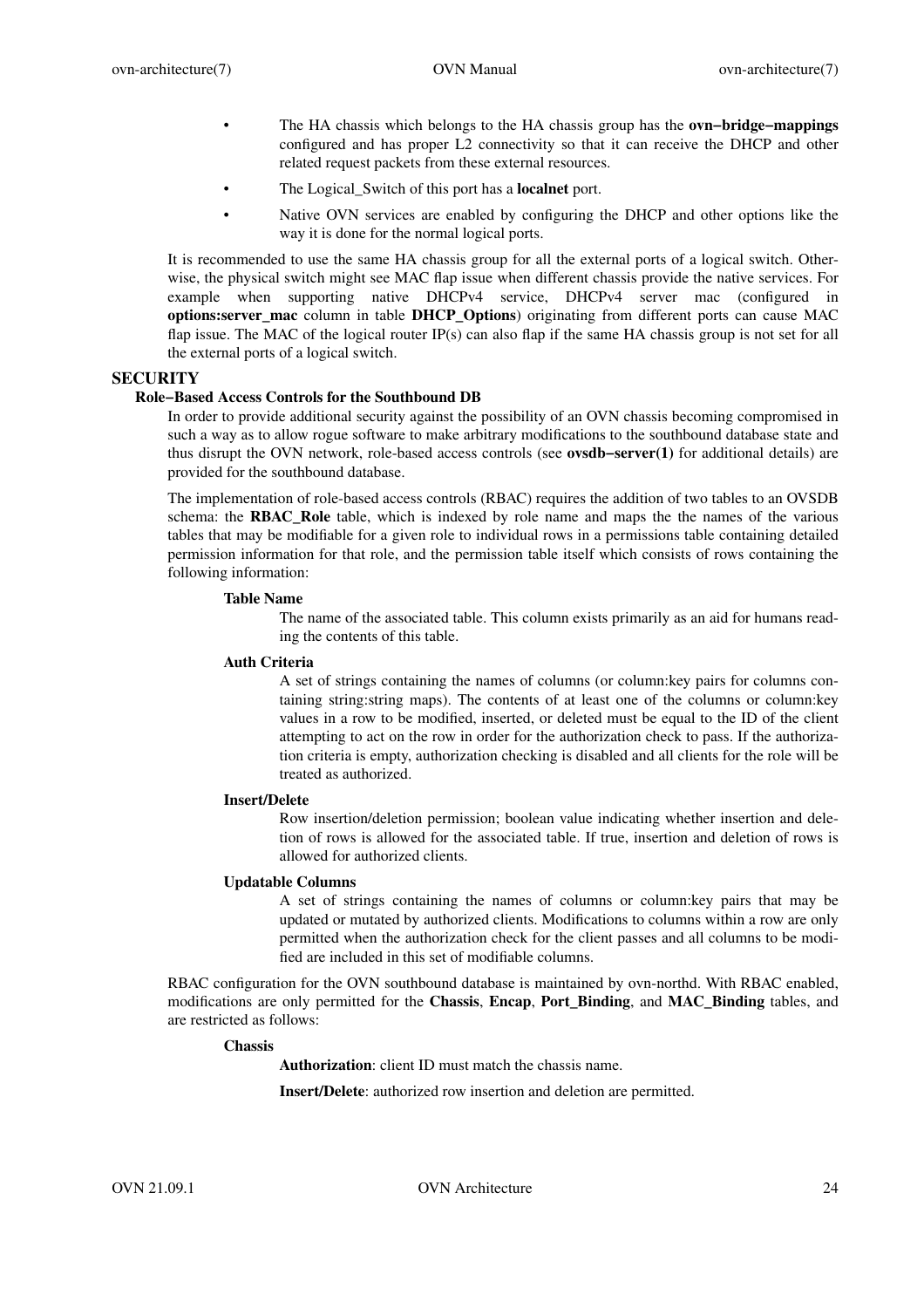- The HA chassis which belongs to the HA chassis group has the **ovn−bridge−mappings** configured and has proper L2 connectivity so that it can receive the DHCP and other related request packets from these external resources.
- The Logical Switch of this port has a **localnet** port.
- Native OVN services are enabled by configuring the DHCP and other options like the way it is done for the normal logical ports.

It is recommended to use the same HA chassis group for all the external ports of a logical switch. Otherwise, the physical switch might see MAC flap issue when different chassis provide the native services. For example when supporting native DHCPv4 service, DHCPv4 server mac (configured in **options:server mac** column in table **DHCP Options**) originating from different ports can cause MAC flap issue. The MAC of the logical router IP(s) can also flap if the same HA chassis group is not set for all the external ports of a logical switch.

# **SECURITY**

# **Role−Based Access Controls for the Southbound DB**

In order to provide additional security against the possibility of an OVN chassis becoming compromised in such a way as to allow rogue software to make arbitrary modifications to the southbound database state and thus disrupt the OVN network, role-based access controls (see **ovsdb−server(1)** for additional details) are provided for the southbound database.

The implementation of role-based access controls (RBAC) requires the addition of two tables to an OVSDB schema: the **RBAC\_Role** table, which is indexed by role name and maps the the names of the various tables that may be modifiable for a given role to individual rows in a permissions table containing detailed permission information for that role, and the permission table itself which consists of rows containing the following information:

# **Table Name**

The name of the associated table. This column exists primarily as an aid for humans reading the contents of this table.

# **Auth Criteria**

A set of strings containing the names of columns (or column:key pairs for columns containing string:string maps). The contents of at least one of the columns or column:key values in a row to be modified, inserted, or deleted must be equal to the ID of the client attempting to act on the row in order for the authorization check to pass. If the authorization criteria is empty, authorization checking is disabled and all clients for the role will be treated as authorized.

# **Insert/Delete**

Row insertion/deletion permission; boolean value indicating whether insertion and deletion of rows is allowed for the associated table. If true, insertion and deletion of rows is allowed for authorized clients.

### **Updatable Columns**

A set of strings containing the names of columns or column:key pairs that may be updated or mutated by authorized clients. Modifications to columns within a row are only permitted when the authorization check for the client passes and all columns to be modified are included in this set of modifiable columns.

RBAC configuration for the OVN southbound database is maintained by ovn-northd. With RBAC enabled, modifications are only permitted for the **Chassis**, **Encap**, **Port\_Binding**, and **MAC\_Binding** tables, and are restricted as follows:

# **Chassis**

**Authorization**: client ID must match the chassis name.

**Insert/Delete**: authorized row insertion and deletion are permitted.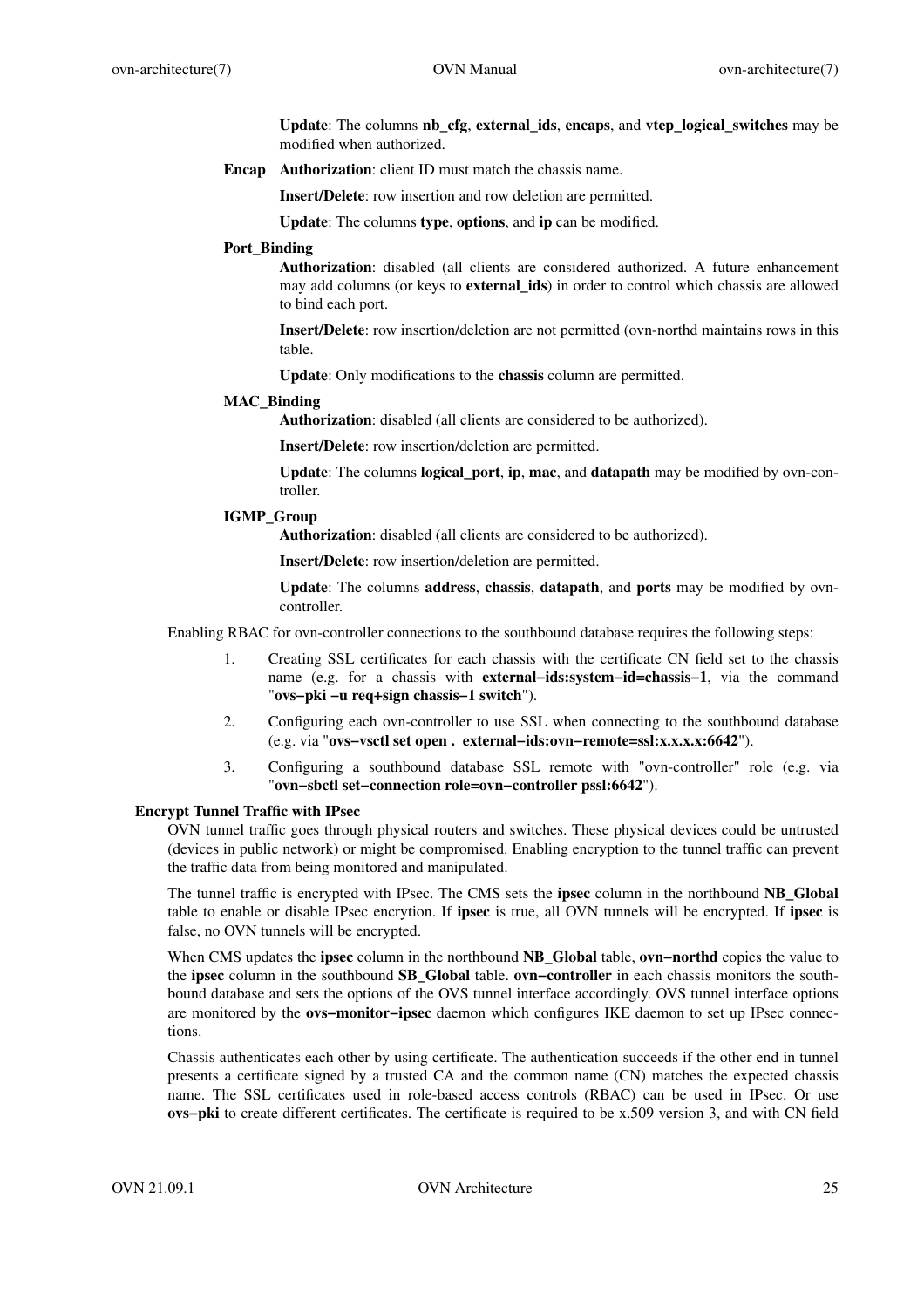**Update**: The columns **nb\_cfg**, **external\_ids**, **encaps**, and **vtep\_logical\_switches** may be modified when authorized.

**Encap Authorization**: client ID must match the chassis name.

**Insert/Delete**: row insertion and row deletion are permitted.

**Update**: The columns **type**, **options**, and **ip** can be modified.

# **Port\_Binding**

**Authorization**: disabled (all clients are considered authorized. A future enhancement may add columns (or keys to **external\_ids**) in order to control which chassis are allowed to bind each port.

**Insert/Delete**: row insertion/deletion are not permitted (ovn-northd maintains rows in this table.

**Update**: Only modifications to the **chassis** column are permitted.

# **MAC\_Binding**

**Authorization**: disabled (all clients are considered to be authorized).

**Insert/Delete**: row insertion/deletion are permitted.

**Update**: The columns **logical\_port**, **ip**, **mac**, and **datapath** may be modified by ovn-controller.

# **IGMP\_Group**

**Authorization**: disabled (all clients are considered to be authorized).

**Insert/Delete**: row insertion/deletion are permitted.

**Update**: The columns **address**, **chassis**, **datapath**, and **ports** may be modified by ovncontroller.

Enabling RBAC for ovn-controller connections to the southbound database requires the following steps:

- 1. Creating SSL certificates for each chassis with the certificate CN field set to the chassis name (e.g. for a chassis with **external−ids:system−id=chassis−1**, via the command "**ovs−pki −u req+sign chassis−1 switch**").
- 2. Configuring each ovn-controller to use SSL when connecting to the southbound database (e.g. via "**ovs−vsctl set open . external−ids:ovn−remote=ssl:x.x.x.x:6642**").
- 3. Configuring a southbound database SSL remote with "ovn-controller" role (e.g. via "**ovn−sbctl set−connection role=ovn−controller pssl:6642**").

# **Encrypt Tunnel Traffic with IPsec**

OVN tunnel traffic goes through physical routers and switches. These physical devices could be untrusted (devices in public network) or might be compromised. Enabling encryption to the tunnel traffic can prevent the traffic data from being monitored and manipulated.

The tunnel traffic is encrypted with IPsec. The CMS sets the **ipsec** column in the northbound **NB\_Global** table to enable or disable IPsec encrytion. If **ipsec** is true, all OVN tunnels will be encrypted. If **ipsec** is false, no OVN tunnels will be encrypted.

When CMS updates the **ipsec** column in the northbound **NB\_Global** table, **ovn−northd** copies the value to the **ipsec** column in the southbound **SB\_Global** table. **ovn−controller** in each chassis monitors the southbound database and sets the options of the OVS tunnel interface accordingly. OVS tunnel interface options are monitored by the **ovs−monitor−ipsec** daemon which configures IKE daemon to set up IPsec connections.

Chassis authenticates each other by using certificate. The authentication succeeds if the other end in tunnel presents a certificate signed by a trusted CA and the common name (CN) matches the expected chassis name. The SSL certificates used in role-based access controls (RBAC) can be used in IPsec. Or use **ovs−pki** to create different certificates. The certificate is required to be x.509 version 3, and with CN field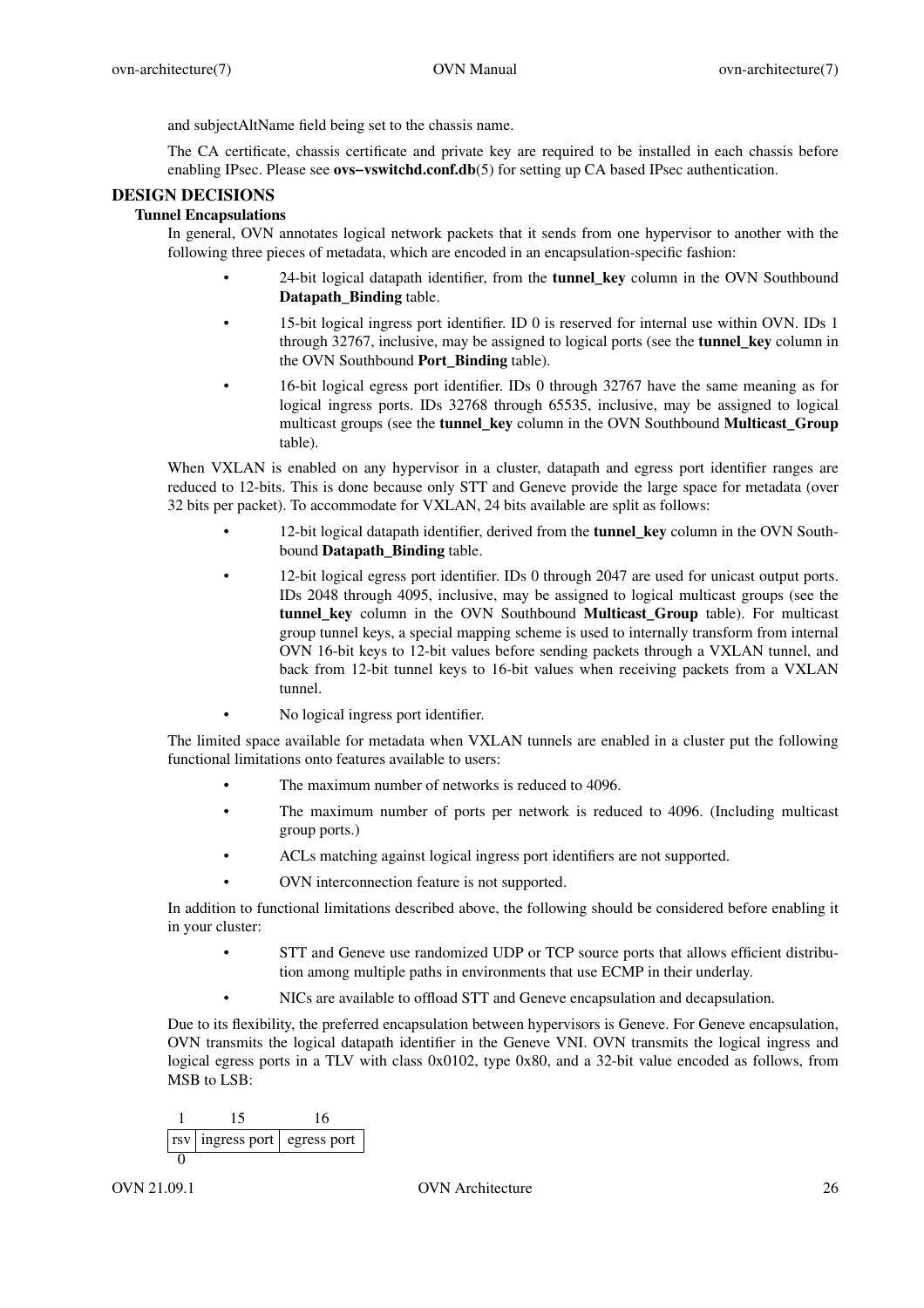and subjectAltName field being set to the chassis name.

The CA certificate, chassis certificate and private key are required to be installed in each chassis before enabling IPsec. Please see **ovs−vswitchd.conf.db**(5) for setting up CA based IPsec authentication.

# **DESIGN DECISIONS**

# **Tunnel Encapsulations**

In general, OVN annotates logical network packets that it sends from one hypervisor to another with the following three pieces of metadata, which are encoded in an encapsulation-specific fashion:

- 24-bit logical datapath identifier, from the **tunnel\_key** column in the OVN Southbound **Datapath\_Binding** table.
- 15-bit logical ingress port identifier. ID 0 is reserved for internal use within OVN. IDs 1 through 32767, inclusive, may be assigned to logical ports (see the **tunnel\_key** column in the OVN Southbound **Port\_Binding** table).
- 16-bit logical egress port identifier. IDs 0 through 32767 have the same meaning as for logical ingress ports. IDs 32768 through 65535, inclusive, may be assigned to logical multicast groups (see the **tunnel\_key** column in the OVN Southbound **Multicast\_Group** table).

When VXLAN is enabled on any hypervisor in a cluster, datapath and egress port identifier ranges are reduced to 12-bits. This is done because only STT and Geneve provide the large space for metadata (over 32 bits per packet). To accommodate for VXLAN, 24 bits available are split as follows:

- 12-bit logical datapath identifier, derived from the **tunnel\_key** column in the OVN Southbound **Datapath\_Binding** table.
- 12-bit logical egress port identifier. IDs 0 through 2047 are used for unicast output ports. IDs 2048 through 4095, inclusive, may be assigned to logical multicast groups (see the **tunnel key** column in the OVN Southbound **Multicast Group** table). For multicast group tunnel keys, a special mapping scheme is used to internally transform from internal OVN 16-bit keys to 12-bit values before sending packets through a VXLAN tunnel, and back from 12-bit tunnel keys to 16-bit values when receiving packets from a VXLAN tunnel.
- No logical ingress port identifier.

The limited space available for metadata when VXLAN tunnels are enabled in a cluster put the following functional limitations onto features available to users:

- The maximum number of networks is reduced to 4096.
- The maximum number of ports per network is reduced to 4096. (Including multicast group ports.)
- ACLs matching against logical ingress port identifiers are not supported.
- OVN interconnection feature is not supported.

In addition to functional limitations described above, the following should be considered before enabling it in your cluster:

- STT and Geneve use randomized UDP or TCP source ports that allows efficient distribution among multiple paths in environments that use ECMP in their underlay.
- NICs are available to offload STT and Geneve encapsulation and decapsulation.

Due to its flexibility, the preferred encapsulation between hypervisors is Geneve. For Geneve encapsulation, OVN transmits the logical datapath identifier in the Geneve VNI. OVN transmits the logical ingress and logical egress ports in a TLV with class 0x0102, type 0x80, and a 32-bit value encoded as follows, from MSB to LSB:

$$
\begin{array}{c|c}\n1 & 15 & 16 \\
\hline\nrsv | ingress port | egress port\n\end{array}
$$

### OVN 21.09.1 OVN Architecture 26